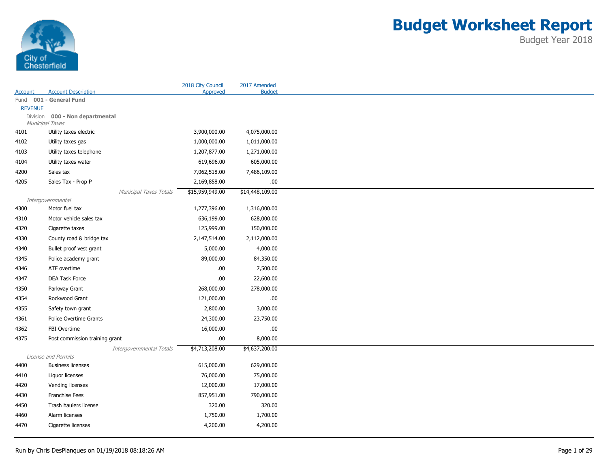

|                |                                             | 2018 City Council | 2017 Amended    |
|----------------|---------------------------------------------|-------------------|-----------------|
| Account        | <b>Account Description</b>                  | Approved          | <b>Budget</b>   |
|                | Fund 001 - General Fund                     |                   |                 |
| <b>REVENUE</b> | Division 000 - Non departmental             |                   |                 |
|                | Municipal Taxes                             |                   |                 |
| 4101           | Utility taxes electric                      | 3,900,000.00      | 4,075,000.00    |
| 4102           | Utility taxes gas                           | 1,000,000.00      | 1,011,000.00    |
| 4103           | Utility taxes telephone                     | 1,207,877.00      | 1,271,000.00    |
| 4104           | Utility taxes water                         | 619,696.00        | 605,000.00      |
| 4200           | Sales tax                                   | 7,062,518.00      | 7,486,109.00    |
| 4205           | Sales Tax - Prop P                          | 2,169,858.00      | .00             |
|                |                                             |                   |                 |
|                | Municipal Taxes Totals<br>Intergovernmental | \$15,959,949.00   | \$14,448,109.00 |
| 4300           | Motor fuel tax                              | 1,277,396.00      | 1,316,000.00    |
| 4310           | Motor vehicle sales tax                     | 636,199.00        | 628,000.00      |
| 4320           | Cigarette taxes                             | 125,999.00        | 150,000.00      |
|                |                                             |                   |                 |
| 4330           | County road & bridge tax                    | 2,147,514.00      | 2,112,000.00    |
| 4340           | Bullet proof vest grant                     | 5,000.00          | 4,000.00        |
| 4345           | Police academy grant                        | 89,000.00         | 84,350.00       |
| 4346           | ATF overtime                                | .00.              | 7,500.00        |
| 4347           | <b>DEA Task Force</b>                       | .00               | 22,600.00       |
| 4350           | Parkway Grant                               | 268,000.00        | 278,000.00      |
| 4354           | Rockwood Grant                              | 121,000.00        | $.00\,$         |
| 4355           | Safety town grant                           | 2,800.00          | 3,000.00        |
| 4361           | Police Overtime Grants                      | 24,300.00         | 23,750.00       |
| 4362           | FBI Overtime                                | 16,000.00         | .00             |
| 4375           | Post commission training grant              | $.00\,$           | 8,000.00        |
|                | Intergovernmental Totals                    | \$4,713,208.00    | \$4,637,200.00  |
|                | License and Permits                         |                   |                 |
| 4400           | <b>Business licenses</b>                    | 615,000.00        | 629,000.00      |
| 4410           | Liquor licenses                             | 76,000.00         | 75,000.00       |
| 4420           | Vending licenses                            | 12,000.00         | 17,000.00       |
| 4430           | <b>Franchise Fees</b>                       | 857,951.00        | 790,000.00      |
| 4450           | Trash haulers license                       | 320.00            | 320.00          |
| 4460           | Alarm licenses                              | 1,750.00          | 1,700.00        |
| 4470           | Cigarette licenses                          | 4,200.00          | 4,200.00        |
|                |                                             |                   |                 |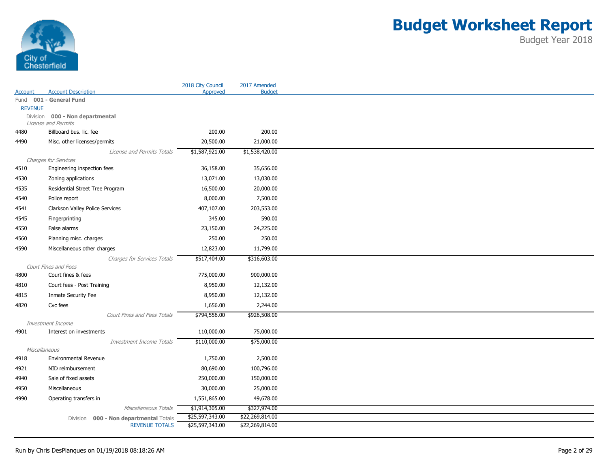

|                |                                                       | 2018 City Council | 2017 Amended    |
|----------------|-------------------------------------------------------|-------------------|-----------------|
| Account        | <b>Account Description</b><br>Fund 001 - General Fund | Approved          | <b>Budget</b>   |
| <b>REVENUE</b> |                                                       |                   |                 |
|                | Division 000 - Non departmental                       |                   |                 |
|                | License and Permits                                   |                   |                 |
| 4480           | Billboard bus. lic. fee                               | 200.00            | 200.00          |
| 4490           | Misc. other licenses/permits                          | 20,500.00         | 21,000.00       |
|                | License and Permits Totals                            | \$1,587,921.00    | \$1,538,420.00  |
|                | Charges for Services                                  |                   |                 |
| 4510           | Engineering inspection fees                           | 36,158.00         | 35,656.00       |
| 4530           | Zoning applications                                   | 13,071.00         | 13,030.00       |
| 4535           | Residential Street Tree Program                       | 16,500.00         | 20,000.00       |
| 4540           | Police report                                         | 8,000.00          | 7,500.00        |
| 4541           | Clarkson Valley Police Services                       | 407,107.00        | 203,553.00      |
| 4545           | Fingerprinting                                        | 345.00            | 590.00          |
| 4550           | False alarms                                          | 23,150.00         | 24,225.00       |
| 4560           | Planning misc. charges                                | 250.00            | 250.00          |
| 4590           | Miscellaneous other charges                           | 12,823.00         | 11,799.00       |
|                | Charges for Services Totals                           | \$517,404.00      | \$316,603.00    |
|                | Court Fines and Fees                                  |                   |                 |
| 4800           | Court fines & fees                                    | 775,000.00        | 900,000.00      |
| 4810           | Court fees - Post Training                            | 8,950.00          | 12,132.00       |
| 4815           | Inmate Security Fee                                   | 8,950.00          | 12,132.00       |
| 4820           | Cvc fees                                              | 1,656.00          | 2,244.00        |
|                | Court Fines and Fees Totals                           | \$794,556.00      | \$926,508.00    |
|                | Investment Income                                     |                   |                 |
| 4901           | Interest on investments                               | 110,000.00        | 75,000.00       |
|                | Investment Income Totals                              | \$110,000.00      | \$75,000.00     |
| Miscellaneous  |                                                       |                   |                 |
| 4918           | Environmental Revenue                                 | 1,750.00          | 2,500.00        |
| 4921           | NID reimbursement                                     | 80,690.00         | 100,796.00      |
| 4940           | Sale of fixed assets                                  | 250,000.00        | 150,000.00      |
| 4950           | Miscellaneous                                         | 30,000.00         | 25,000.00       |
| 4990           | Operating transfers in                                | 1,551,865.00      | 49,678.00       |
|                | Miscellaneous Totals                                  | \$1,914,305.00    | \$327,974.00    |
|                | Division 000 - Non departmental Totals                | \$25,597,343.00   | \$22,269,814.00 |
|                | <b>REVENUE TOTALS</b>                                 | \$25,597,343.00   | \$22,269,814.00 |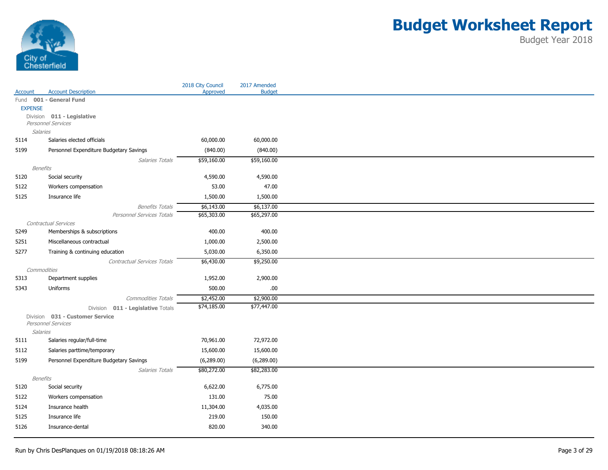

|                |                                         | 2018 City Council | 2017 Amended  |
|----------------|-----------------------------------------|-------------------|---------------|
| Account        | <b>Account Description</b>              | Approved          | <b>Budget</b> |
|                | Fund 001 - General Fund                 |                   |               |
| <b>EXPENSE</b> | Division 011 - Legislative              |                   |               |
|                | Personnel Services                      |                   |               |
|                | <b>Salaries</b>                         |                   |               |
| 5114           | Salaries elected officials              | 60,000.00         | 60,000.00     |
| 5199           | Personnel Expenditure Budgetary Savings | (840.00)          | (840.00)      |
|                | Salaries Totals                         | \$59,160.00       | \$59,160.00   |
|                | <b>Benefits</b>                         |                   |               |
| 5120           | Social security                         | 4,590.00          | 4,590.00      |
| 5122           | Workers compensation                    | 53.00             | 47.00         |
| 5125           | Insurance life                          | 1,500.00          | 1,500.00      |
|                | <b>Benefits Totals</b>                  | \$6,143.00        | \$6,137.00    |
|                | Personnel Services Totals               | \$65,303.00       | \$65,297.00   |
|                | Contractual Services                    |                   |               |
| 5249           | Memberships & subscriptions             | 400.00            | 400.00        |
| 5251           | Miscellaneous contractual               | 1,000.00          | 2,500.00      |
| 5277           | Training & continuing education         | 5,030.00          | 6,350.00      |
|                | <b>Contractual Services Totals</b>      | \$6,430.00        | \$9,250.00    |
|                | Commodities                             |                   |               |
| 5313           | Department supplies                     | 1,952.00          | 2,900.00      |
| 5343           | Uniforms                                | 500.00            | .00           |
|                | Commodities Totals                      | \$2,452.00        | \$2,900.00    |
|                | Division 011 - Legislative Totals       | \$74,185.00       | \$77,447.00   |
|                | Division 031 - Customer Service         |                   |               |
|                | Personnel Services<br><b>Salaries</b>   |                   |               |
| 5111           | Salaries regular/full-time              | 70,961.00         | 72,972.00     |
| 5112           | Salaries parttime/temporary             | 15,600.00         | 15,600.00     |
|                | Personnel Expenditure Budgetary Savings | (6,289.00)        | (6,289.00)    |
| 5199           |                                         |                   |               |
|                | Salaries Totals<br>Benefits             | \$80,272.00       | \$82,283.00   |
| 5120           | Social security                         | 6,622.00          | 6,775.00      |
| 5122           | Workers compensation                    | 131.00            | 75.00         |
| 5124           | Insurance health                        | 11,304.00         | 4,035.00      |
|                |                                         |                   |               |
| 5125           | Insurance life                          | 219.00            | 150.00        |
| 5126           | Insurance-dental                        | 820.00            | 340.00        |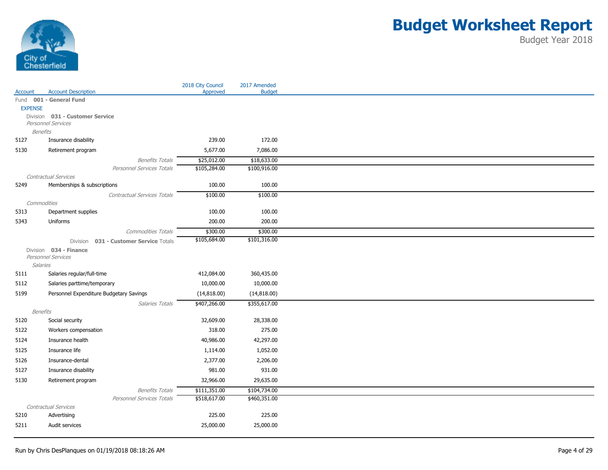

|                |                                                       | 2018 City Council | 2017 Amended  |
|----------------|-------------------------------------------------------|-------------------|---------------|
| Account        | <b>Account Description</b>                            | Approved          | <b>Budget</b> |
|                | Fund 001 - General Fund                               |                   |               |
| <b>EXPENSE</b> |                                                       |                   |               |
|                | Division 031 - Customer Service<br>Personnel Services |                   |               |
|                | <b>Benefits</b>                                       |                   |               |
| 5127           | Insurance disability                                  | 239.00            | 172.00        |
| 5130           | Retirement program                                    | 5,677.00          | 7,086.00      |
|                | <b>Benefits Totals</b>                                | \$25,012.00       | \$18,633.00   |
|                | Personnel Services Totals                             | \$105,284.00      | \$100,916.00  |
|                | Contractual Services                                  |                   |               |
| 5249           | Memberships & subscriptions                           | 100.00            | 100.00        |
|                | Contractual Services Totals                           | \$100.00          | \$100.00      |
|                | Commodities                                           |                   |               |
| 5313           | Department supplies                                   | 100.00            | 100.00        |
| 5343           | Uniforms                                              | 200.00            | 200.00        |
|                | Commodities Totals                                    | \$300.00          | \$300.00      |
|                | 031 - Customer Service Totals<br>Division             | \$105,684.00      | \$101,316.00  |
|                | Division 034 - Finance                                |                   |               |
|                | Personnel Services                                    |                   |               |
| Salaries       |                                                       |                   |               |
| 5111           | Salaries regular/full-time                            | 412,084.00        | 360,435.00    |
| 5112           | Salaries parttime/temporary                           | 10,000.00         | 10,000.00     |
| 5199           | Personnel Expenditure Budgetary Savings               | (14, 818.00)      | (14, 818.00)  |
|                | Salaries Totals                                       | \$407,266.00      | \$355,617.00  |
|                | Benefits                                              |                   |               |
| 5120           | Social security                                       | 32,609.00         | 28,338.00     |
| 5122           | Workers compensation                                  | 318.00            | 275.00        |
| 5124           | Insurance health                                      | 40,986.00         | 42,297.00     |
| 5125           | Insurance life                                        | 1,114.00          | 1,052.00      |
|                |                                                       |                   |               |
| 5126           | Insurance-dental                                      | 2,377.00          | 2,206.00      |
| 5127           | Insurance disability                                  | 981.00            | 931.00        |
| 5130           | Retirement program                                    | 32,966.00         | 29,635.00     |
|                | <b>Benefits Totals</b>                                | \$111,351.00      | \$104,734.00  |
|                | Personnel Services Totals                             | \$518,617.00      | \$460,351.00  |
|                | Contractual Services                                  |                   |               |
| 5210           | Advertising                                           | 225.00            | 225.00        |
| 5211           | Audit services                                        | 25,000.00         | 25,000.00     |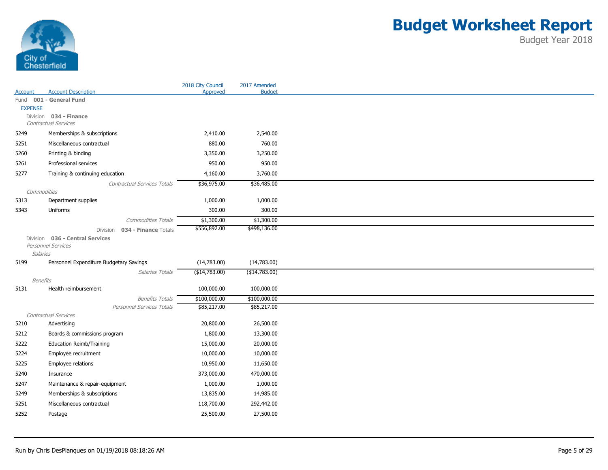

|                 |                                                       | 2018 City Council | 2017 Amended  |
|-----------------|-------------------------------------------------------|-------------------|---------------|
| Account         | <b>Account Description</b><br>Fund 001 - General Fund | Approved          | <b>Budget</b> |
| <b>EXPENSE</b>  |                                                       |                   |               |
|                 | Division 034 - Finance                                |                   |               |
|                 | Contractual Services                                  |                   |               |
| 5249            | Memberships & subscriptions                           | 2,410.00          | 2,540.00      |
| 5251            | Miscellaneous contractual                             | 880.00            | 760.00        |
| 5260            | Printing & binding                                    | 3,350.00          | 3,250.00      |
| 5261            | Professional services                                 | 950.00            | 950.00        |
| 5277            | Training & continuing education                       | 4,160.00          | 3,760.00      |
|                 | <b>Contractual Services Totals</b>                    | \$36,975.00       | \$36,485.00   |
| Commodities     |                                                       |                   |               |
| 5313            | Department supplies                                   | 1,000.00          | 1,000.00      |
| 5343            | Uniforms                                              | 300.00            | 300.00        |
|                 | <b>Commodities Totals</b>                             | \$1,300.00        | \$1,300.00    |
|                 | 034 - Finance Totals<br>Division                      | \$556,892.00      | \$498,136.00  |
|                 | Division 036 - Central Services<br>Personnel Services |                   |               |
| Salaries        |                                                       |                   |               |
| 5199            | Personnel Expenditure Budgetary Savings               | (14,783.00)       | (14,783.00)   |
|                 | Salaries Totals                                       | (\$14,783.00)     | (\$14,783.00) |
| <b>Benefits</b> |                                                       |                   |               |
| 5131            | Health reimbursement                                  | 100,000.00        | 100,000.00    |
|                 | <b>Benefits Totals</b>                                | \$100,000.00      | \$100,000.00  |
|                 | Personnel Services Totals                             | \$85,217.00       | \$85,217.00   |
|                 | Contractual Services                                  |                   |               |
| 5210            | Advertising                                           | 20,800.00         | 26,500.00     |
| 5212            | Boards & commissions program                          | 1,800.00          | 13,300.00     |
| 5222            | <b>Education Reimb/Training</b>                       | 15,000.00         | 20,000.00     |
| 5224            | Employee recruitment                                  | 10,000.00         | 10,000.00     |
| 5225            | Employee relations                                    | 10,950.00         | 11,650.00     |
| 5240            | Insurance                                             | 373,000.00        | 470,000.00    |
| 5247            | Maintenance & repair-equipment                        | 1,000.00          | 1,000.00      |
| 5249            | Memberships & subscriptions                           | 13,835.00         | 14,985.00     |
| 5251            | Miscellaneous contractual                             | 118,700.00        | 292,442.00    |
| 5252            | Postage                                               | 25,500.00         | 27,500.00     |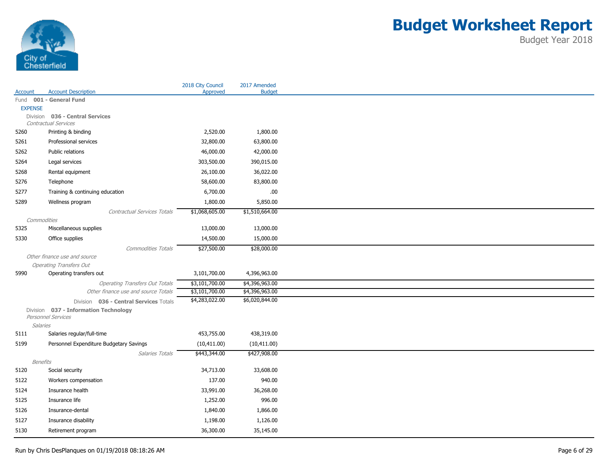

|                 |                                                             | 2018 City Council                | 2017 Amended                     |
|-----------------|-------------------------------------------------------------|----------------------------------|----------------------------------|
| Account         | <b>Account Description</b>                                  | Approved                         | <b>Budget</b>                    |
| <b>EXPENSE</b>  | Fund 001 - General Fund                                     |                                  |                                  |
|                 | Division 036 - Central Services                             |                                  |                                  |
|                 | Contractual Services                                        |                                  |                                  |
| 5260            | Printing & binding                                          | 2,520.00                         | 1,800.00                         |
| 5261            | Professional services                                       | 32,800.00                        | 63,800.00                        |
| 5262            | Public relations                                            | 46,000.00                        | 42,000.00                        |
| 5264            | Legal services                                              | 303,500.00                       | 390,015.00                       |
| 5268            | Rental equipment                                            | 26,100.00                        | 36,022.00                        |
| 5276            | Telephone                                                   | 58,600.00                        | 83,800.00                        |
| 5277            | Training & continuing education                             | 6,700.00                         | .00                              |
| 5289            | Wellness program                                            | 1,800.00                         | 5,850.00                         |
|                 | Contractual Services Totals                                 | \$1,068,605.00                   | \$1,510,664.00                   |
| Commodities     |                                                             |                                  |                                  |
| 5325            | Miscellaneous supplies                                      | 13,000.00                        | 13,000.00                        |
| 5330            | Office supplies                                             | 14,500.00                        | 15,000.00                        |
|                 | <b>Commodities Totals</b>                                   | \$27,500.00                      | \$28,000.00                      |
|                 | Other finance use and source                                |                                  |                                  |
|                 | <b>Operating Transfers Out</b>                              |                                  |                                  |
| 5990            | Operating transfers out                                     | 3,101,700.00                     | 4,396,963.00                     |
|                 | <b>Operating Transfers Out Totals</b>                       | \$3,101,700.00                   | \$4,396,963.00                   |
|                 | Other finance use and source Totals                         | \$3,101,700.00<br>\$4,283,022.00 | \$4,396,963.00<br>\$6,020,844.00 |
|                 | Division 036 - Central Services Totals                      |                                  |                                  |
|                 | Division 037 - Information Technology<br>Personnel Services |                                  |                                  |
| Salaries        |                                                             |                                  |                                  |
| 5111            | Salaries regular/full-time                                  | 453,755.00                       | 438,319.00                       |
| 5199            | Personnel Expenditure Budgetary Savings                     | (10, 411.00)                     | (10, 411.00)                     |
|                 | Salaries Totals                                             | \$443,344.00                     | \$427,908.00                     |
| <b>Benefits</b> |                                                             |                                  |                                  |
| 5120            | Social security                                             | 34,713.00                        | 33,608.00                        |
| 5122            | Workers compensation                                        | 137.00                           | 940.00                           |
| 5124            | Insurance health                                            | 33,991.00                        | 36,268.00                        |
| 5125            | Insurance life                                              | 1,252.00                         | 996.00                           |
| 5126            | Insurance-dental                                            | 1,840.00                         | 1,866.00                         |
| 5127            | Insurance disability                                        | 1,198.00                         | 1,126.00                         |
| 5130            | Retirement program                                          | 36,300.00                        | 35,145.00                        |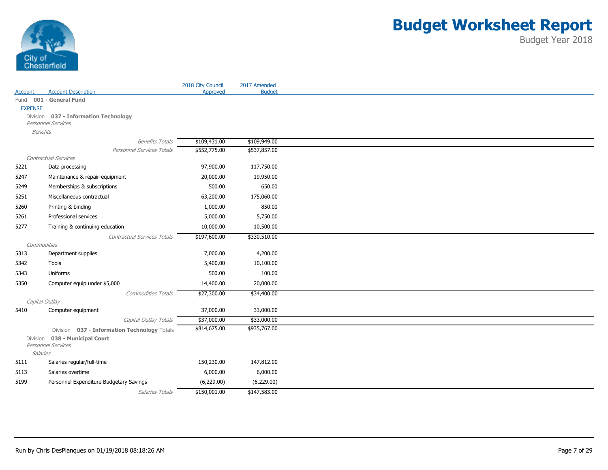

|                 |                                              | 2018 City Council | 2017 Amended  |
|-----------------|----------------------------------------------|-------------------|---------------|
| Account         | <b>Account Description</b>                   | Approved          | <b>Budget</b> |
| <b>EXPENSE</b>  | Fund 001 - General Fund                      |                   |               |
|                 | Division 037 - Information Technology        |                   |               |
|                 | <b>Personnel Services</b>                    |                   |               |
| <b>Benefits</b> |                                              |                   |               |
|                 | <b>Benefits Totals</b>                       | \$109,431.00      | \$109,949.00  |
|                 | Personnel Services Totals                    | \$552,775.00      | \$537,857.00  |
|                 | Contractual Services                         |                   |               |
| 5221            | Data processing                              | 97,900.00         | 117,750.00    |
| 5247            | Maintenance & repair-equipment               | 20,000.00         | 19,950.00     |
| 5249            | Memberships & subscriptions                  | 500.00            | 650.00        |
| 5251            | Miscellaneous contractual                    | 63,200.00         | 175,060.00    |
| 5260            | Printing & binding                           | 1,000.00          | 850.00        |
| 5261            | Professional services                        | 5,000.00          | 5,750.00      |
| 5277            | Training & continuing education              | 10,000.00         | 10,500.00     |
|                 | Contractual Services Totals                  | \$197,600.00      | \$330,510.00  |
| Commodities     |                                              |                   |               |
| 5313            | Department supplies                          | 7,000.00          | 4,200.00      |
| 5342            | Tools                                        | 5,400.00          | 10,100.00     |
| 5343            | Uniforms                                     | 500.00            | 100.00        |
| 5350            | Computer equip under \$5,000                 | 14,400.00         | 20,000.00     |
|                 | <b>Commodities Totals</b>                    | \$27,300.00       | \$34,400.00   |
|                 | Capital Outlay                               |                   |               |
| 5410            | Computer equipment                           | 37,000.00         | 33,000.00     |
|                 | Capital Outlay Totals                        | \$37,000.00       | \$33,000.00   |
|                 | Division 037 - Information Technology Totals | \$814,675.00      | \$935,767.00  |
|                 | Division 038 - Municipal Court               |                   |               |
| <b>Salaries</b> | Personnel Services                           |                   |               |
| 5111            | Salaries regular/full-time                   | 150,230.00        | 147,812.00    |
| 5113            | Salaries overtime                            | 6,000.00          | 6,000.00      |
| 5199            | Personnel Expenditure Budgetary Savings      | (6,229.00)        | (6,229.00)    |
|                 |                                              |                   |               |
|                 | Salaries Totals                              | \$150,001.00      | \$147,583.00  |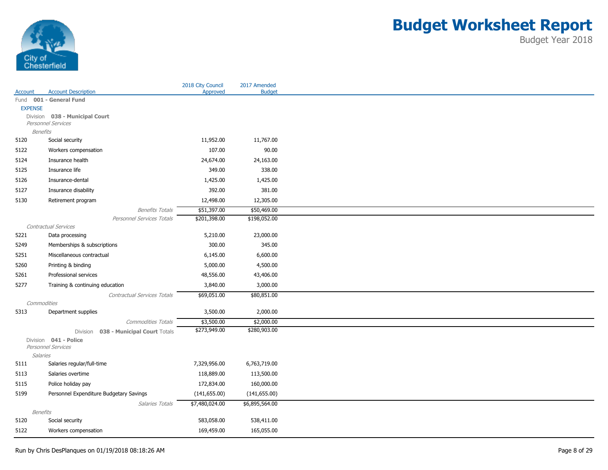

|                  |                                          | 2018 City Council | 2017 Amended   |
|------------------|------------------------------------------|-------------------|----------------|
| <b>Account</b>   | <b>Account Description</b>               | Approved          | <b>Budget</b>  |
|                  | Fund 001 - General Fund                  |                   |                |
| <b>EXPENSE</b>   | Division 038 - Municipal Court           |                   |                |
|                  | Personnel Services                       |                   |                |
|                  | <b>Benefits</b>                          |                   |                |
| 5120             | Social security                          | 11,952.00         | 11,767.00      |
| 5122             | Workers compensation                     | 107.00            | 90.00          |
| 5124             | Insurance health                         | 24,674.00         | 24,163.00      |
| 5125             | Insurance life                           | 349.00            | 338.00         |
| 5126             | Insurance-dental                         | 1,425.00          | 1,425.00       |
| 5127             | Insurance disability                     | 392.00            | 381.00         |
| 5130             | Retirement program                       | 12,498.00         | 12,305.00      |
|                  | <b>Benefits Totals</b>                   | \$51,397.00       | \$50,469.00    |
|                  | Personnel Services Totals                | \$201,398.00      | \$198,052.00   |
|                  | Contractual Services                     |                   |                |
| 5221             | Data processing                          | 5,210.00          | 23,000.00      |
| 5249             | Memberships & subscriptions              | 300.00            | 345.00         |
| 5251             | Miscellaneous contractual                | 6,145.00          | 6,600.00       |
| 5260             | Printing & binding                       | 5,000.00          | 4,500.00       |
| 5261             | Professional services                    | 48,556.00         | 43,406.00      |
| 5277             | Training & continuing education          | 3,840.00          | 3,000.00       |
|                  | Contractual Services Totals              | \$69,051.00       | \$80,851.00    |
|                  | Commodities                              |                   |                |
| 5313             | Department supplies                      | 3,500.00          | 2,000.00       |
|                  | <b>Commodities Totals</b>                | \$3,500.00        | \$2,000.00     |
|                  | 038 - Municipal Court Totals<br>Division | \$273,949.00      | \$280,903.00   |
|                  | Division 041 - Police                    |                   |                |
|                  | Personnel Services                       |                   |                |
| Salaries<br>5111 | Salaries regular/full-time               | 7,329,956.00      | 6,763,719.00   |
|                  |                                          |                   |                |
| 5113             | Salaries overtime                        | 118,889.00        | 113,500.00     |
| 5115             | Police holiday pay                       | 172,834.00        | 160,000.00     |
| 5199             | Personnel Expenditure Budgetary Savings  | (141, 655.00)     | (141, 655.00)  |
|                  | Salaries Totals                          | \$7,480,024.00    | \$6,895,564.00 |
| 5120             | Benefits                                 |                   |                |
|                  | Social security                          | 583,058.00        | 538,411.00     |
| 5122             | Workers compensation                     | 169,459.00        | 165,055.00     |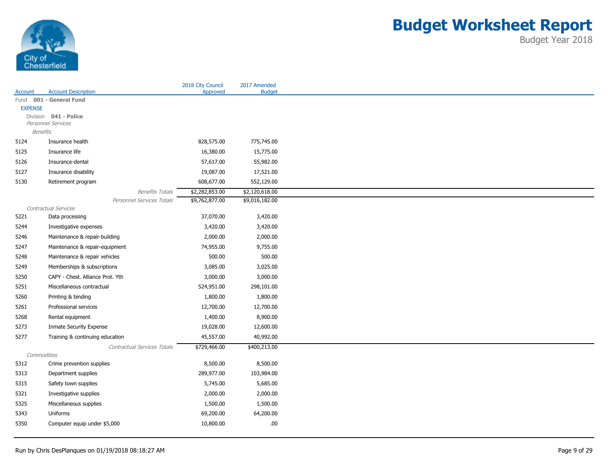

|                 |                                    | 2018 City Council | 2017 Amended   |
|-----------------|------------------------------------|-------------------|----------------|
| Account         | <b>Account Description</b>         | Approved          | <b>Budget</b>  |
| <b>EXPENSE</b>  | Fund 001 - General Fund            |                   |                |
|                 | Division 041 - Police              |                   |                |
|                 | Personnel Services                 |                   |                |
| <b>Benefits</b> |                                    |                   |                |
| 5124            | Insurance health                   | 828,575.00        | 775,745.00     |
| 5125            | Insurance life                     | 16,380.00         | 15,775.00      |
| 5126            | Insurance-dental                   | 57,617.00         | 55,982.00      |
| 5127            | Insurance disability               | 19,087.00         | 17,521.00      |
| 5130            | Retirement program                 | 608,677.00        | 552,129.00     |
|                 | <b>Benefits Totals</b>             | \$2,282,853.00    | \$2,120,618.00 |
|                 | Personnel Services Totals          | \$9,762,877.00    | \$9,016,182.00 |
|                 | Contractual Services               |                   |                |
| 5221            | Data processing                    | 37,070.00         | 3,420.00       |
| 5244            | Investigative expenses             | 3,420.00          | 3,420.00       |
| 5246            | Maintenance & repair-building      | 2,000.00          | 2,000.00       |
| 5247            | Maintenance & repair-equipment     | 74,955.00         | 9,755.00       |
| 5248            | Maintenance & repair vehicles      | 500.00            | 500.00         |
| 5249            | Memberships & subscriptions        | 3,085.00          | 3,025.00       |
| 5250            | CAPY - Chest. Alliance Prot. Yth   | 3,000.00          | 3,000.00       |
| 5251            | Miscellaneous contractual          | 524,951.00        | 298,101.00     |
| 5260            | Printing & binding                 | 1,800.00          | 1,800.00       |
| 5261            | Professional services              | 12,700.00         | 12,700.00      |
| 5268            | Rental equipment                   | 1,400.00          | 8,900.00       |
| 5273            | <b>Inmate Security Expense</b>     | 19,028.00         | 12,600.00      |
| 5277            | Training & continuing education    | 45,557.00         | 40,992.00      |
|                 | <b>Contractual Services Totals</b> | \$729,466.00      | \$400,213.00   |
|                 | Commodities                        |                   |                |
| 5312            | Crime prevention supplies          | 8,500.00          | 8,500.00       |
| 5313            | Department supplies                | 289,977.00        | 103,984.00     |
| 5315            | Safety town supplies               | 5,745.00          | 5,685.00       |
| 5321            | Investigative supplies             | 2,000.00          | 2,000.00       |
| 5325            | Miscellaneous supplies             | 1,500.00          | 1,500.00       |
| 5343            | Uniforms                           | 69,200.00         | 64,200.00      |
| 5350            | Computer equip under \$5,000       | 10,800.00         | .00            |
|                 |                                    |                   |                |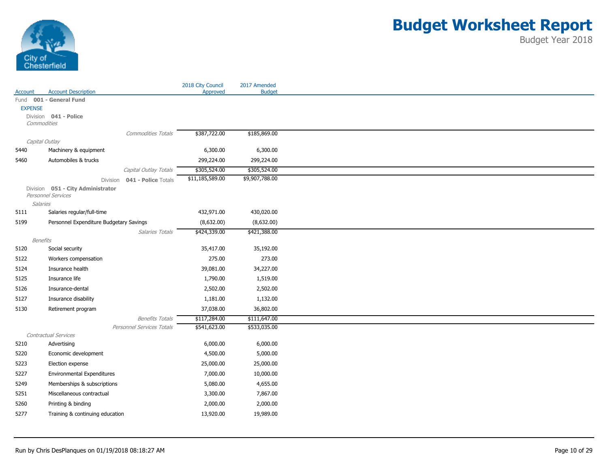

|                 |                                         |                                                     | 2018 City Council | 2017 Amended   |
|-----------------|-----------------------------------------|-----------------------------------------------------|-------------------|----------------|
| Account         | <b>Account Description</b>              |                                                     | Approved          | <b>Budget</b>  |
|                 | Fund 001 - General Fund                 |                                                     |                   |                |
| <b>EXPENSE</b>  | Division 041 - Police                   |                                                     |                   |                |
| Commodities     |                                         |                                                     |                   |                |
|                 |                                         | <b>Commodities Totals</b>                           | \$387,722.00      | \$185,869.00   |
| Capital Outlay  |                                         |                                                     |                   |                |
| 5440            | Machinery & equipment                   |                                                     | 6,300.00          | 6,300.00       |
| 5460            | Automobiles & trucks                    |                                                     | 299,224.00        | 299,224.00     |
|                 |                                         | Capital Outlay Totals                               | \$305,524.00      | \$305,524.00   |
|                 |                                         | Division 041 - Police Totals                        | \$11,185,589.00   | \$9,907,788.00 |
|                 | Division 051 - City Administrator       |                                                     |                   |                |
| Salaries        | Personnel Services                      |                                                     |                   |                |
| 5111            | Salaries regular/full-time              |                                                     | 432,971.00        | 430,020.00     |
| 5199            | Personnel Expenditure Budgetary Savings |                                                     | (8,632.00)        | (8,632.00)     |
|                 |                                         |                                                     |                   |                |
| <b>Benefits</b> |                                         | Salaries Totals                                     | \$424,339.00      | \$421,388.00   |
| 5120            | Social security                         |                                                     | 35,417.00         | 35,192.00      |
| 5122            | Workers compensation                    |                                                     | 275.00            | 273.00         |
| 5124            | Insurance health                        |                                                     | 39,081.00         | 34,227.00      |
| 5125            | Insurance life                          |                                                     | 1,790.00          | 1,519.00       |
| 5126            | Insurance-dental                        |                                                     | 2,502.00          | 2,502.00       |
| 5127            | Insurance disability                    |                                                     | 1,181.00          | 1,132.00       |
|                 |                                         |                                                     |                   |                |
| 5130            | Retirement program                      |                                                     | 37,038.00         | 36,802.00      |
|                 |                                         | <b>Benefits Totals</b><br>Personnel Services Totals | \$117,284.00      | \$111,647.00   |
|                 | Contractual Services                    |                                                     | \$541,623.00      | \$533,035.00   |
| 5210            | Advertising                             |                                                     | 6,000.00          | 6,000.00       |
| 5220            | Economic development                    |                                                     | 4,500.00          | 5,000.00       |
| 5223            | Election expense                        |                                                     | 25,000.00         | 25,000.00      |
| 5227            | <b>Environmental Expenditures</b>       |                                                     | 7,000.00          | 10,000.00      |
| 5249            | Memberships & subscriptions             |                                                     | 5,080.00          | 4,655.00       |
|                 |                                         |                                                     |                   |                |
| 5251            | Miscellaneous contractual               |                                                     | 3,300.00          | 7,867.00       |
| 5260            | Printing & binding                      |                                                     | 2,000.00          | 2,000.00       |
| 5277            | Training & continuing education         |                                                     | 13,920.00         | 19,989.00      |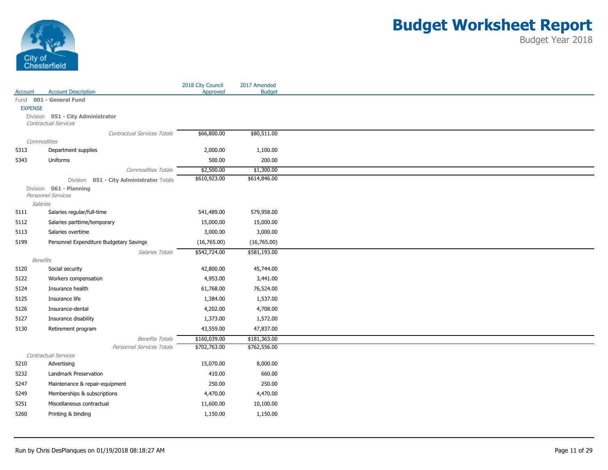

| Account         | <b>Account Description</b>                    | 2018 City Council<br>Approved | 2017 Amended<br><b>Budget</b> |
|-----------------|-----------------------------------------------|-------------------------------|-------------------------------|
|                 | Fund 001 - General Fund                       |                               |                               |
| <b>EXPENSE</b>  |                                               |                               |                               |
|                 | Division 051 - City Administrator             |                               |                               |
|                 | Contractual Services                          |                               |                               |
|                 | Contractual Services Totals                   | \$66,800.00                   | \$80,511.00                   |
| Commodities     |                                               |                               |                               |
| 5313            | Department supplies                           | 2,000.00                      | 1,100.00                      |
| 5343            | Uniforms                                      | 500.00                        | 200.00                        |
|                 | Commodities Totals                            | \$2,500.00                    | \$1,300.00                    |
|                 | Division 051 - City Administrator Totals      | \$610,923.00                  | \$614,846.00                  |
|                 | Division 061 - Planning<br>Personnel Services |                               |                               |
| Salaries        |                                               |                               |                               |
| 5111            | Salaries regular/full-time                    | 541,489.00                    | 579,958.00                    |
| 5112            | Salaries parttime/temporary                   | 15,000.00                     | 15,000.00                     |
| 5113            | Salaries overtime                             | 3,000.00                      | 3,000.00                      |
| 5199            | Personnel Expenditure Budgetary Savings       | (16,765.00)                   | (16,765.00)                   |
|                 | Salaries Totals                               | \$542,724.00                  | \$581,193.00                  |
| <b>Benefits</b> |                                               |                               |                               |
| 5120            | Social security                               | 42,800.00                     | 45,744.00                     |
| 5122            | Workers compensation                          | 4,953.00                      | 3,441.00                      |
| 5124            | Insurance health                              | 61,768.00                     | 76,524.00                     |
| 5125            | Insurance life                                | 1,384.00                      | 1,537.00                      |
| 5126            | Insurance-dental                              | 4,202.00                      | 4,708.00                      |
| 5127            | Insurance disability                          | 1,373.00                      | 1,572.00                      |
| 5130            | Retirement program                            | 43,559.00                     | 47,837.00                     |
|                 | <b>Benefits Totals</b>                        | \$160,039.00                  | \$181,363.00                  |
|                 | Personnel Services Totals                     | \$702,763.00                  | \$762,556.00                  |
|                 | Contractual Services                          |                               |                               |
| 5210            | Advertising                                   | 15,070.00                     | 8,000.00                      |
| 5232            | Landmark Preservation                         | 410.00                        | 660.00                        |
| 5247            | Maintenance & repair-equipment                | 250.00                        | 250.00                        |
| 5249            | Memberships & subscriptions                   | 4,470.00                      | 4,470.00                      |
| 5251            | Miscellaneous contractual                     | 11,600.00                     | 10,100.00                     |
| 5260            | Printing & binding                            | 1,150.00                      | 1,150.00                      |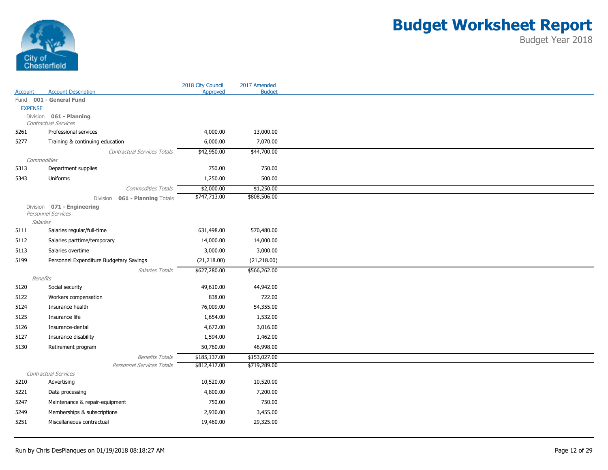

|                 |                                                       | 2018 City Council | 2017 Amended  |
|-----------------|-------------------------------------------------------|-------------------|---------------|
| <b>Account</b>  | <b>Account Description</b><br>Fund 001 - General Fund | Approved          | <b>Budget</b> |
| <b>EXPENSE</b>  |                                                       |                   |               |
|                 | Division 061 - Planning                               |                   |               |
|                 | Contractual Services                                  |                   |               |
| 5261            | Professional services                                 | 4,000.00          | 13,000.00     |
| 5277            | Training & continuing education                       | 6,000.00          | 7,070.00      |
|                 | Contractual Services Totals                           | \$42,950.00       | \$44,700.00   |
| Commodities     |                                                       |                   |               |
| 5313            | Department supplies                                   | 750.00            | 750.00        |
| 5343            | Uniforms                                              | 1,250.00          | 500.00        |
|                 | Commodities Totals                                    | \$2,000.00        | \$1,250.00    |
|                 | Division 061 - Planning Totals                        | \$747,713.00      | \$808,506.00  |
|                 | Division 071 - Engineering                            |                   |               |
| <b>Salaries</b> | Personnel Services                                    |                   |               |
| 5111            | Salaries regular/full-time                            | 631,498.00        | 570,480.00    |
| 5112            | Salaries parttime/temporary                           | 14,000.00         | 14,000.00     |
| 5113            | Salaries overtime                                     | 3,000.00          | 3,000.00      |
| 5199            | Personnel Expenditure Budgetary Savings               | (21, 218.00)      | (21, 218.00)  |
|                 | Salaries Totals                                       | \$627,280.00      | \$566,262.00  |
|                 | Benefits                                              |                   |               |
| 5120            | Social security                                       | 49,610.00         | 44,942.00     |
| 5122            | Workers compensation                                  | 838.00            | 722.00        |
| 5124            | Insurance health                                      | 76,009.00         | 54,355.00     |
| 5125            | Insurance life                                        | 1,654.00          | 1,532.00      |
| 5126            | Insurance-dental                                      | 4,672.00          | 3,016.00      |
| 5127            | Insurance disability                                  | 1,594.00          | 1,462.00      |
| 5130            | Retirement program                                    | 50,760.00         | 46,998.00     |
|                 | <b>Benefits Totals</b>                                | \$185,137.00      | \$153,027.00  |
|                 | Personnel Services Totals                             | \$812,417.00      | \$719,289.00  |
|                 | Contractual Services                                  |                   |               |
| 5210            | Advertising                                           | 10,520.00         | 10,520.00     |
| 5221            | Data processing                                       | 4,800.00          | 7,200.00      |
| 5247            | Maintenance & repair-equipment                        | 750.00            | 750.00        |
| 5249            | Memberships & subscriptions                           | 2,930.00          | 3,455.00      |
| 5251            | Miscellaneous contractual                             | 19,460.00         | 29,325.00     |
|                 |                                                       |                   |               |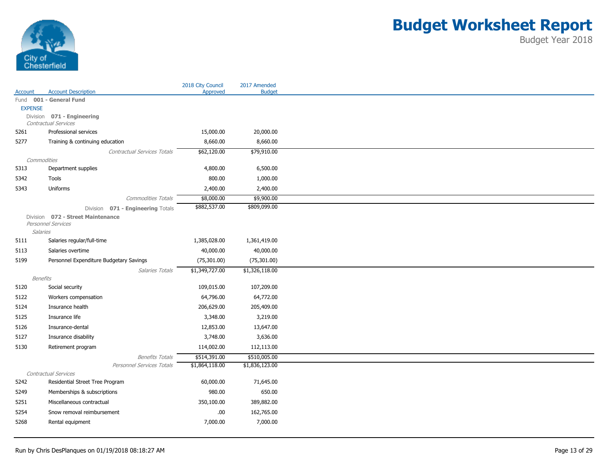

|                 |                                                         | 2018 City Council | 2017 Amended   |
|-----------------|---------------------------------------------------------|-------------------|----------------|
| <b>Account</b>  | <b>Account Description</b><br>Fund 001 - General Fund   | Approved          | <b>Budget</b>  |
| <b>EXPENSE</b>  |                                                         |                   |                |
|                 | Division 071 - Engineering                              |                   |                |
|                 | Contractual Services                                    |                   |                |
| 5261            | Professional services                                   | 15,000.00         | 20,000.00      |
| 5277            | Training & continuing education                         | 8,660.00          | 8,660.00       |
|                 | Contractual Services Totals                             | \$62,120.00       | \$79,910.00    |
| Commodities     |                                                         |                   |                |
| 5313            | Department supplies                                     | 4,800.00          | 6,500.00       |
| 5342            | <b>Tools</b>                                            | 800.00            | 1,000.00       |
| 5343            | Uniforms                                                | 2,400.00          | 2,400.00       |
|                 | <b>Commodities Totals</b>                               | \$8,000.00        | \$9,900.00     |
|                 | Division 071 - Engineering Totals                       | \$882,537.00      | \$809,099.00   |
|                 | Division 072 - Street Maintenance<br>Personnel Services |                   |                |
| <b>Salaries</b> |                                                         |                   |                |
| 5111            | Salaries regular/full-time                              | 1,385,028.00      | 1,361,419.00   |
| 5113            | Salaries overtime                                       | 40,000.00         | 40,000.00      |
| 5199            | Personnel Expenditure Budgetary Savings                 | (75, 301.00)      | (75, 301.00)   |
|                 | Salaries Totals                                         | \$1,349,727.00    | \$1,326,118.00 |
| <b>Benefits</b> |                                                         |                   |                |
| 5120            | Social security                                         | 109,015.00        | 107,209.00     |
| 5122            | Workers compensation                                    | 64,796.00         | 64,772.00      |
| 5124            | Insurance health                                        | 206,629.00        | 205,409.00     |
| 5125            | Insurance life                                          | 3,348.00          | 3,219.00       |
| 5126            | Insurance-dental                                        | 12,853.00         | 13,647.00      |
| 5127            | Insurance disability                                    | 3,748.00          | 3,636.00       |
| 5130            | Retirement program                                      | 114,002.00        | 112,113.00     |
|                 | <b>Benefits Totals</b>                                  | \$514,391.00      | \$510,005.00   |
|                 | Personnel Services Totals                               | \$1,864,118.00    | \$1,836,123.00 |
|                 | Contractual Services                                    |                   |                |
| 5242            | Residential Street Tree Program                         | 60,000.00         | 71,645.00      |
| 5249            | Memberships & subscriptions                             | 980.00            | 650.00         |
| 5251            | Miscellaneous contractual                               | 350,100.00        | 389,882.00     |
| 5254            | Snow removal reimbursement                              | .00               | 162,765.00     |
| 5268            | Rental equipment                                        | 7,000.00          | 7,000.00       |
|                 |                                                         |                   |                |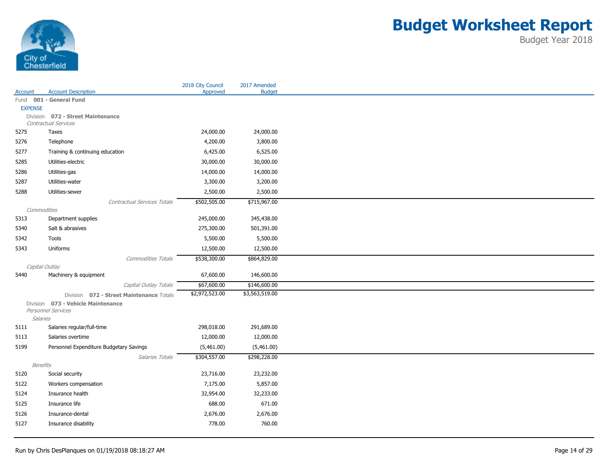

|                |                                                          | 2018 City Council | 2017 Amended   |
|----------------|----------------------------------------------------------|-------------------|----------------|
| Account        | <b>Account Description</b>                               | Approved          | <b>Budget</b>  |
| <b>EXPENSE</b> | Fund 001 - General Fund                                  |                   |                |
|                | Division 072 - Street Maintenance                        |                   |                |
|                | Contractual Services                                     |                   |                |
| 5275           | Taxes                                                    | 24,000.00         | 24,000.00      |
| 5276           | Telephone                                                | 4,200.00          | 3,800.00       |
| 5277           | Training & continuing education                          | 6,425.00          | 6,525.00       |
| 5285           | Utilities-electric                                       | 30,000.00         | 30,000.00      |
| 5286           | Utilities-gas                                            | 14,000.00         | 14,000.00      |
| 5287           | Utilities-water                                          | 3,300.00          | 3,200.00       |
| 5288           | Utilities-sewer                                          | 2,500.00          | 2,500.00       |
|                | <b>Contractual Services Totals</b>                       | \$502,505.00      | \$715,967.00   |
| Commodities    |                                                          |                   |                |
| 5313           | Department supplies                                      | 245,000.00        | 345,438.00     |
| 5340           | Salt & abrasives                                         | 275,300.00        | 501,391.00     |
| 5342           | Tools                                                    | 5,500.00          | 5,500.00       |
| 5343           | Uniforms                                                 | 12,500.00         | 12,500.00      |
|                | <b>Commodities Totals</b>                                | \$538,300.00      | \$864,829.00   |
| Capital Outlay |                                                          |                   |                |
| 5440           | Machinery & equipment                                    | 67,600.00         | 146,600.00     |
|                | Capital Outlay Totals                                    | \$67,600.00       | \$146,600.00   |
|                | Division 072 - Street Maintenance Totals                 | \$2,972,523.00    | \$3,563,519.00 |
|                | Division 073 - Vehicle Maintenance<br>Personnel Services |                   |                |
| Salaries       |                                                          |                   |                |
| 5111           | Salaries regular/full-time                               | 298,018.00        | 291,689.00     |
| 5113           | Salaries overtime                                        | 12,000.00         | 12,000.00      |
| 5199           | Personnel Expenditure Budgetary Savings                  | (5,461.00)        | (5,461.00)     |
|                | Salaries Totals                                          | \$304,557.00      | \$298,228.00   |
| Benefits       |                                                          |                   |                |
| 5120           | Social security                                          | 23,716.00         | 23,232.00      |
| 5122           | Workers compensation                                     | 7,175.00          | 5,857.00       |
| 5124           | Insurance health                                         | 32,954.00         | 32,233.00      |
| 5125           | Insurance life                                           | 688.00            | 671.00         |
| 5126           | Insurance-dental                                         | 2,676.00          | 2,676.00       |
| 5127           | Insurance disability                                     | 778.00            | 760.00         |
|                |                                                          |                   |                |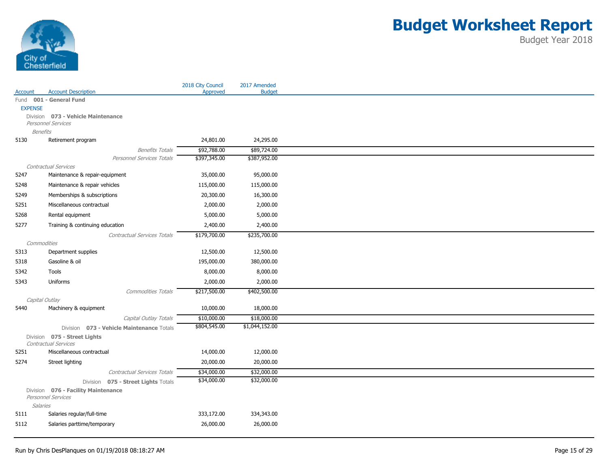

| Account                | <b>Account Description</b>                                                | 2018 City Council<br>Approved | 2017 Amended<br><b>Budget</b> |
|------------------------|---------------------------------------------------------------------------|-------------------------------|-------------------------------|
|                        | Fund 001 - General Fund                                                   |                               |                               |
| <b>EXPENSE</b>         |                                                                           |                               |                               |
|                        | Division 073 - Vehicle Maintenance                                        |                               |                               |
|                        | Personnel Services                                                        |                               |                               |
| <b>Benefits</b>        |                                                                           |                               |                               |
| 5130                   | Retirement program                                                        | 24,801.00                     | 24,295.00                     |
|                        | <b>Benefits Totals</b>                                                    | \$92,788.00                   | \$89,724.00                   |
|                        | Personnel Services Totals<br>Contractual Services                         | \$397,345.00                  | \$387,952.00                  |
| 5247                   | Maintenance & repair-equipment                                            | 35,000.00                     | 95,000.00                     |
| 5248                   | Maintenance & repair vehicles                                             | 115,000.00                    | 115,000.00                    |
| 5249                   | Memberships & subscriptions                                               | 20,300.00                     | 16,300.00                     |
| 5251                   | Miscellaneous contractual                                                 | 2,000.00                      | 2,000.00                      |
|                        |                                                                           |                               |                               |
| 5268                   | Rental equipment                                                          | 5,000.00                      | 5,000.00                      |
| 5277                   | Training & continuing education                                           | 2,400.00                      | 2,400.00                      |
|                        | Contractual Services Totals                                               | \$179,700.00                  | \$235,700.00                  |
| Commodities<br>5313    | Department supplies                                                       | 12,500.00                     | 12,500.00                     |
| 5318                   | Gasoline & oil                                                            | 195,000.00                    | 380,000.00                    |
|                        |                                                                           |                               |                               |
| 5342                   | <b>Tools</b>                                                              | 8,000.00                      | 8,000.00                      |
| 5343                   | Uniforms                                                                  | 2,000.00                      | 2,000.00                      |
|                        | <b>Commodities Totals</b>                                                 | \$217,500.00                  | \$402,500.00                  |
| Capital Outlay<br>5440 | Machinery & equipment                                                     | 10,000.00                     | 18,000.00                     |
|                        |                                                                           |                               |                               |
|                        | Capital Outlay Totals                                                     | \$10,000.00<br>\$804,545.00   | \$18,000.00<br>\$1,044,152.00 |
|                        | Division 073 - Vehicle Maintenance Totals<br>Division 075 - Street Lights |                               |                               |
|                        | Contractual Services                                                      |                               |                               |
| 5251                   | Miscellaneous contractual                                                 | 14,000.00                     | 12,000.00                     |
| 5274                   | Street lighting                                                           | 20,000.00                     | 20,000.00                     |
|                        | Contractual Services Totals                                               | \$34,000.00                   | \$32,000.00                   |
|                        | Division 075 - Street Lights Totals                                       | \$34,000.00                   | \$32,000.00                   |
|                        | Division 076 - Facility Maintenance                                       |                               |                               |
|                        | <b>Personnel Services</b>                                                 |                               |                               |
| <b>Salaries</b>        |                                                                           |                               |                               |
| 5111                   | Salaries regular/full-time                                                | 333,172.00                    | 334,343.00                    |
| 5112                   | Salaries parttime/temporary                                               | 26,000.00                     | 26,000.00                     |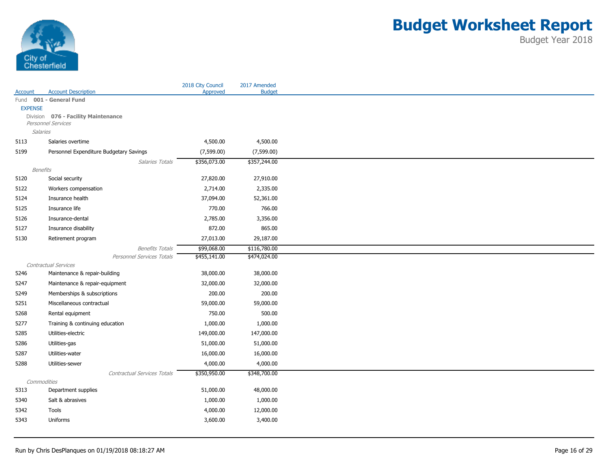

|                 |                                                           | 2018 City Council | 2017 Amended  |
|-----------------|-----------------------------------------------------------|-------------------|---------------|
| Account         | <b>Account Description</b>                                | Approved          | <b>Budget</b> |
|                 | Fund 001 - General Fund                                   |                   |               |
| <b>EXPENSE</b>  |                                                           |                   |               |
|                 | Division 076 - Facility Maintenance<br>Personnel Services |                   |               |
| <b>Salaries</b> |                                                           |                   |               |
| 5113            | Salaries overtime                                         | 4,500.00          | 4,500.00      |
| 5199            | Personnel Expenditure Budgetary Savings                   | (7,599.00)        | (7,599.00)    |
|                 | Salaries Totals                                           | \$356,073.00      | \$357,244.00  |
| <b>Benefits</b> |                                                           |                   |               |
| 5120            | Social security                                           | 27,820.00         | 27,910.00     |
| 5122            | Workers compensation                                      | 2,714.00          | 2,335.00      |
| 5124            | Insurance health                                          | 37,094.00         | 52,361.00     |
| 5125            | Insurance life                                            | 770.00            | 766.00        |
| 5126            | Insurance-dental                                          | 2,785.00          | 3,356.00      |
| 5127            | Insurance disability                                      | 872.00            | 865.00        |
| 5130            | Retirement program                                        | 27,013.00         | 29,187.00     |
|                 | <b>Benefits Totals</b>                                    | \$99,068.00       | \$116,780.00  |
|                 | Personnel Services Totals                                 | \$455,141.00      | \$474,024.00  |
|                 | Contractual Services                                      |                   |               |
| 5246            | Maintenance & repair-building                             | 38,000.00         | 38,000.00     |
| 5247            | Maintenance & repair-equipment                            | 32,000.00         | 32,000.00     |
| 5249            | Memberships & subscriptions                               | 200.00            | 200.00        |
| 5251            | Miscellaneous contractual                                 | 59,000.00         | 59,000.00     |
| 5268            | Rental equipment                                          | 750.00            | 500.00        |
| 5277            | Training & continuing education                           | 1,000.00          | 1,000.00      |
| 5285            | Utilities-electric                                        | 149,000.00        | 147,000.00    |
| 5286            | Utilities-gas                                             | 51,000.00         | 51,000.00     |
| 5287            | Utilities-water                                           | 16,000.00         | 16,000.00     |
| 5288            | Utilities-sewer                                           | 4,000.00          | 4,000.00      |
|                 | <b>Contractual Services Totals</b>                        | \$350,950.00      | \$348,700.00  |
| Commodities     |                                                           |                   |               |
| 5313            | Department supplies                                       | 51,000.00         | 48,000.00     |
| 5340            | Salt & abrasives                                          | 1,000.00          | 1,000.00      |
| 5342            | Tools                                                     | 4,000.00          | 12,000.00     |
| 5343            | Uniforms                                                  | 3,600.00          | 3,400.00      |
|                 |                                                           |                   |               |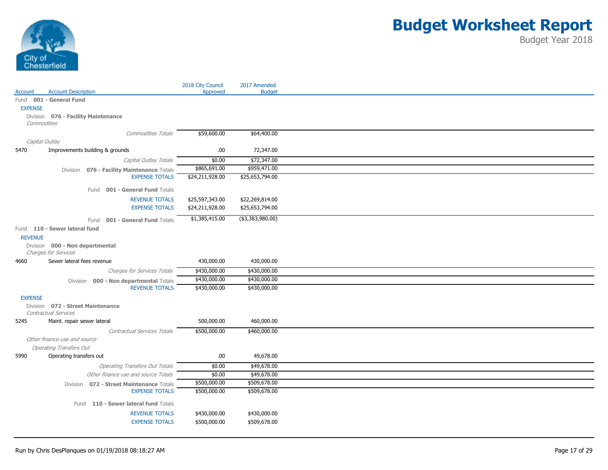

|                |                                                           | 2018 City Council<br>Approved | 2017 Amended<br><b>Budget</b> |  |  |
|----------------|-----------------------------------------------------------|-------------------------------|-------------------------------|--|--|
| Account        | <b>Account Description</b><br>Fund 001 - General Fund     |                               |                               |  |  |
| <b>EXPENSE</b> |                                                           |                               |                               |  |  |
|                | Division 076 - Facility Maintenance                       |                               |                               |  |  |
| Commodities    |                                                           |                               |                               |  |  |
|                | <b>Commodities Totals</b>                                 | \$59,600.00                   | \$64,400.00                   |  |  |
|                | Capital Outlay                                            |                               |                               |  |  |
| 5470           | Improvements building & grounds                           | .00                           | 72,347.00                     |  |  |
|                | Capital Outlay Totals                                     | \$0.00                        | \$72,347.00                   |  |  |
|                | Division 076 - Facility Maintenance Totals                | \$865,691.00                  | \$959,471.00                  |  |  |
|                | <b>EXPENSE TOTALS</b>                                     | \$24,211,928.00               | \$25,653,794.00               |  |  |
|                | Fund 001 - General Fund Totals                            |                               |                               |  |  |
|                | <b>REVENUE TOTALS</b>                                     | \$25,597,343.00               | \$22,269,814.00               |  |  |
|                | <b>EXPENSE TOTALS</b>                                     | \$24,211,928.00               | \$25,653,794.00               |  |  |
|                | 001 - General Fund Totals<br>Fund                         | \$1,385,415.00                | ( \$3,383,980.00)             |  |  |
|                | Fund 110 - Sewer lateral fund                             |                               |                               |  |  |
| <b>REVENUE</b> |                                                           |                               |                               |  |  |
|                | Division 000 - Non departmental                           |                               |                               |  |  |
|                | Charges for Services                                      |                               |                               |  |  |
| 4660           | Sewer lateral fees revenue                                | 430,000.00                    | 430,000.00                    |  |  |
|                | Charges for Services Totals                               | \$430,000.00                  | \$430,000.00                  |  |  |
|                | Division 000 - Non departmental Totals                    | \$430,000.00                  | \$430,000.00                  |  |  |
|                | <b>REVENUE TOTALS</b>                                     | \$430,000.00                  | \$430,000.00                  |  |  |
| <b>EXPENSE</b> |                                                           |                               |                               |  |  |
|                | Division 072 - Street Maintenance<br>Contractual Services |                               |                               |  |  |
| 5245           | Maint. repair sewer lateral                               | 500,000.00                    | 460,000.00                    |  |  |
|                | Contractual Services Totals                               | \$500,000.00                  | \$460,000.00                  |  |  |
|                | Other finance use and source                              |                               |                               |  |  |
|                | <b>Operating Transfers Out</b>                            |                               |                               |  |  |
| 5990           | Operating transfers out                                   | .00                           | 49,678.00                     |  |  |
|                | <b>Operating Transfers Out Totals</b>                     | \$0.00                        | \$49,678.00                   |  |  |
|                | Other finance use and source Totals                       | \$0.00                        | \$49,678.00                   |  |  |
|                | Division 072 - Street Maintenance Totals                  | \$500,000.00                  | \$509,678.00                  |  |  |
|                | <b>EXPENSE TOTALS</b>                                     | \$500,000.00                  | \$509,678.00                  |  |  |
|                | Fund 110 - Sewer lateral fund Totals                      |                               |                               |  |  |
|                | <b>REVENUE TOTALS</b>                                     | \$430,000.00                  | \$430,000.00                  |  |  |
|                | <b>EXPENSE TOTALS</b>                                     | \$500,000.00                  | \$509,678.00                  |  |  |
|                |                                                           |                               |                               |  |  |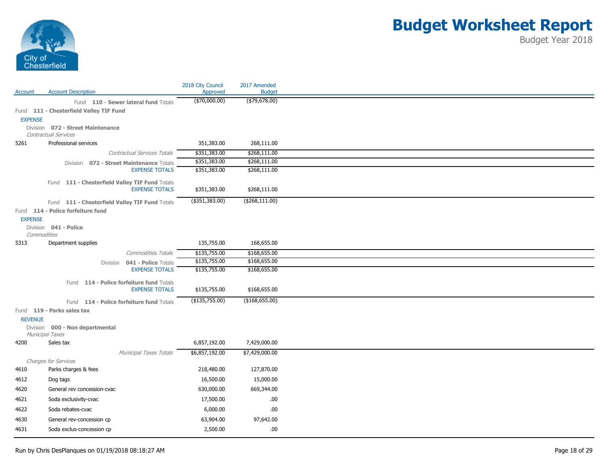

|                |                                                    | 2018 City Council | 2017 Amended     |
|----------------|----------------------------------------------------|-------------------|------------------|
| Account        | <b>Account Description</b>                         | Approved          | <b>Budget</b>    |
|                | Fund 110 - Sewer lateral fund Totals               | $($ \$70,000.00)  | $($ \$79,678.00) |
|                | Fund 111 - Chesterfield Valley TIF Fund            |                   |                  |
| <b>EXPENSE</b> | Division 072 - Street Maintenance                  |                   |                  |
|                | Contractual Services                               |                   |                  |
| 5261           | Professional services                              | 351,383.00        | 268,111.00       |
|                | Contractual Services Totals                        | \$351,383.00      | \$268,111.00     |
|                | Division 072 - Street Maintenance Totals           | \$351,383.00      | \$268,111.00     |
|                | <b>EXPENSE TOTALS</b>                              | \$351,383.00      | \$268,111.00     |
|                | 111 - Chesterfield Valley TIF Fund Totals<br>Fund  |                   |                  |
|                | <b>EXPENSE TOTALS</b>                              | \$351,383.00      | \$268,111.00     |
|                | Fund 111 - Chesterfield Valley TIF Fund Totals     | $(*351,383.00)$   | ( \$268, 111.00) |
|                | Fund 114 - Police forfeiture fund                  |                   |                  |
| <b>EXPENSE</b> |                                                    |                   |                  |
|                | Division 041 - Police                              |                   |                  |
|                | Commodities                                        |                   |                  |
| 5313           | Department supplies                                | 135,755.00        | 168,655.00       |
|                | <b>Commodities Totals</b>                          | \$135,755.00      | \$168,655.00     |
|                | Division 041 - Police Totals                       | \$135,755.00      | \$168,655.00     |
|                | <b>EXPENSE TOTALS</b>                              | \$135,755.00      | \$168,655.00     |
|                | Fund<br>114 - Police forfeiture fund Totals        |                   |                  |
|                | <b>EXPENSE TOTALS</b>                              | \$135,755.00      | \$168,655.00     |
|                | Fund 114 - Police forfeiture fund Totals           | $($ \$135,755.00) | ( \$168,655.00)  |
|                | Fund 119 - Parks sales tax                         |                   |                  |
| <b>REVENUE</b> |                                                    |                   |                  |
|                | Division 000 - Non departmental<br>Municipal Taxes |                   |                  |
| 4200           | Sales tax                                          | 6,857,192.00      | 7,429,000.00     |
|                | Municipal Taxes Totals                             | \$6,857,192.00    | \$7,429,000.00   |
|                | Charges for Services                               |                   |                  |
| 4610           | Parks charges & fees                               | 218,480.00        | 127,870.00       |
| 4612           | Dog tags                                           | 16,500.00         | 15,000.00        |
| 4620           | General rev concession-cvac                        | 630,000.00        | 669,344.00       |
| 4621           | Soda exclusivity-cvac                              | 17,500.00         | .00.             |
| 4622           | Soda rebates-cvac                                  | 6,000.00          | .00.             |
|                |                                                    |                   | 97,642.00        |
| 4630           | General rev-concession cp                          | 63,904.00         |                  |
| 4631           | Soda exclus-concession cp                          | 2,500.00          | .00.             |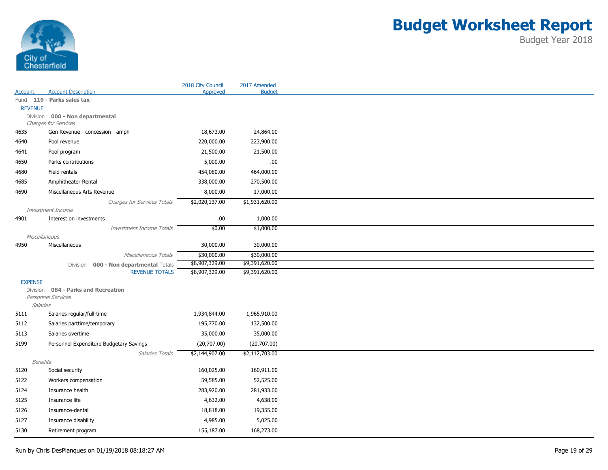

|                |                                                           | 2018 City Council | 2017 Amended   |
|----------------|-----------------------------------------------------------|-------------------|----------------|
| Account        | <b>Account Description</b>                                | Approved          | <b>Budget</b>  |
| <b>REVENUE</b> | Fund 119 - Parks sales tax                                |                   |                |
|                | Division 000 - Non departmental                           |                   |                |
|                | Charges for Services                                      |                   |                |
| 4635           | Gen Revenue - concession - amph                           | 18,673.00         | 24,864.00      |
| 4640           | Pool revenue                                              | 220,000.00        | 223,900.00     |
| 4641           | Pool program                                              | 21,500.00         | 21,500.00      |
| 4650           | Parks contributions                                       | 5,000.00          | .00            |
| 4680           | Field rentals                                             | 454,080.00        | 464,000.00     |
| 4685           | Amphitheater Rental                                       | 338,000.00        | 270,500.00     |
| 4690           | Miscellaneous Arts Revenue                                | 8,000.00          | 17,000.00      |
|                | Charges for Services Totals                               | \$2,020,137.00    | \$1,931,620.00 |
|                | Investment Income                                         |                   |                |
| 4901           | Interest on investments                                   | .00.              | 1,000.00       |
|                | Investment Income Totals                                  | \$0.00            | \$1,000.00     |
| Miscellaneous  |                                                           |                   |                |
| 4950           | Miscellaneous                                             | 30,000.00         | 30,000.00      |
|                | Miscellaneous Totals                                      | \$30,000.00       | \$30,000.00    |
|                | 000 - Non departmental Totals<br>Division                 | \$8,907,329.00    | \$9,391,620.00 |
|                | <b>REVENUE TOTALS</b>                                     | \$8,907,329.00    | \$9,391,620.00 |
| <b>EXPENSE</b> |                                                           |                   |                |
|                | Division 084 - Parks and Recreation<br>Personnel Services |                   |                |
| Salaries       |                                                           |                   |                |
| 5111           | Salaries regular/full-time                                | 1,934,844.00      | 1,965,910.00   |
| 5112           | Salaries parttime/temporary                               | 195,770.00        | 132,500.00     |
| 5113           | Salaries overtime                                         | 35,000.00         | 35,000.00      |
| 5199           | Personnel Expenditure Budgetary Savings                   | (20,707.00)       | (20,707.00)    |
|                | Salaries Totals                                           | \$2,144,907.00    | \$2,112,703.00 |
| Benefits       |                                                           |                   |                |
| 5120           | Social security                                           | 160,025.00        | 160,911.00     |
| 5122           | Workers compensation                                      | 59,585.00         | 52,525.00      |
| 5124           | Insurance health                                          | 283,920.00        | 281,933.00     |
| 5125           | Insurance life                                            | 4,632.00          | 4,638.00       |
| 5126           | Insurance-dental                                          | 18,818.00         | 19,355.00      |
| 5127           | Insurance disability                                      | 4,985.00          | 5,025.00       |
| 5130           | Retirement program                                        | 155,187.00        | 168,273.00     |
|                |                                                           |                   |                |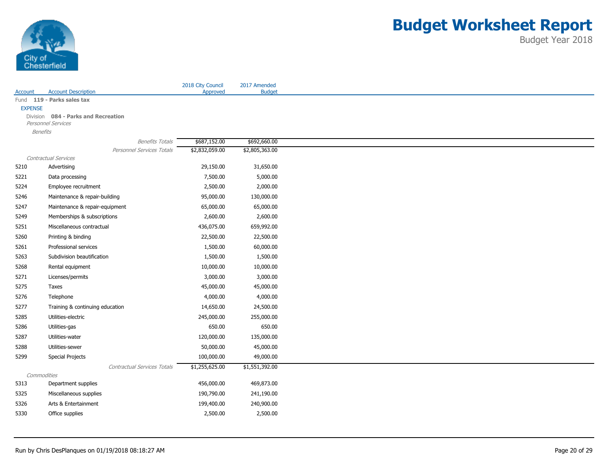

|                 |                                     | 2018 City Council | 2017 Amended   |
|-----------------|-------------------------------------|-------------------|----------------|
| Account         | <b>Account Description</b>          | Approved          | <b>Budget</b>  |
|                 | Fund 119 - Parks sales tax          |                   |                |
| <b>EXPENSE</b>  | Division 084 - Parks and Recreation |                   |                |
|                 | Personnel Services                  |                   |                |
| <b>Benefits</b> |                                     |                   |                |
|                 | <b>Benefits Totals</b>              | \$687,152.00      | \$692,660.00   |
|                 | Personnel Services Totals           | \$2,832,059.00    | \$2,805,363.00 |
|                 | Contractual Services                |                   |                |
| 5210            | Advertising                         | 29,150.00         | 31,650.00      |
| 5221            | Data processing                     | 7,500.00          | 5,000.00       |
| 5224            | Employee recruitment                | 2,500.00          | 2,000.00       |
| 5246            | Maintenance & repair-building       | 95,000.00         | 130,000.00     |
| 5247            | Maintenance & repair-equipment      | 65,000.00         | 65,000.00      |
| 5249            | Memberships & subscriptions         | 2,600.00          | 2,600.00       |
| 5251            | Miscellaneous contractual           | 436,075.00        | 659,992.00     |
| 5260            | Printing & binding                  | 22,500.00         | 22,500.00      |
| 5261            | Professional services               | 1,500.00          | 60,000.00      |
| 5263            | Subdivision beautification          | 1,500.00          | 1,500.00       |
| 5268            | Rental equipment                    | 10,000.00         | 10,000.00      |
|                 |                                     |                   |                |
| 5271            | Licenses/permits                    | 3,000.00          | 3,000.00       |
| 5275            | Taxes                               | 45,000.00         | 45,000.00      |
| 5276            | Telephone                           | 4,000.00          | 4,000.00       |
| 5277            | Training & continuing education     | 14,650.00         | 24,500.00      |
| 5285            | Utilities-electric                  | 245,000.00        | 255,000.00     |
| 5286            | Utilities-gas                       | 650.00            | 650.00         |
| 5287            | Utilities-water                     | 120,000.00        | 135,000.00     |
| 5288            | Utilities-sewer                     | 50,000.00         | 45,000.00      |
| 5299            | <b>Special Projects</b>             | 100,000.00        | 49,000.00      |
|                 | <b>Contractual Services Totals</b>  | \$1,255,625.00    | \$1,551,392.00 |
| Commodities     |                                     |                   |                |
| 5313            | Department supplies                 | 456,000.00        | 469,873.00     |
| 5325            | Miscellaneous supplies              | 190,790.00        | 241,190.00     |
| 5326            | Arts & Entertainment                | 199,400.00        | 240,900.00     |
| 5330            | Office supplies                     | 2,500.00          | 2,500.00       |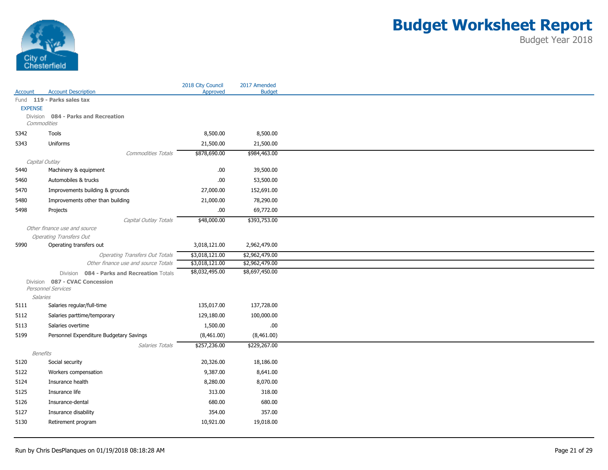

|                |                                                                              | 2018 City Council                | 2017 Amended                     |
|----------------|------------------------------------------------------------------------------|----------------------------------|----------------------------------|
| Account        | <b>Account Description</b>                                                   | Approved                         | <b>Budget</b>                    |
|                | Fund 119 - Parks sales tax                                                   |                                  |                                  |
| <b>EXPENSE</b> | Division 084 - Parks and Recreation                                          |                                  |                                  |
|                | Commodities                                                                  |                                  |                                  |
| 5342           | Tools                                                                        | 8,500.00                         | 8,500.00                         |
| 5343           | Uniforms                                                                     | 21,500.00                        | 21,500.00                        |
|                | <b>Commodities Totals</b>                                                    | \$878,690.00                     | \$984,463.00                     |
|                | Capital Outlay                                                               |                                  |                                  |
| 5440           | Machinery & equipment                                                        | .00.                             | 39,500.00                        |
| 5460           | Automobiles & trucks                                                         | .00                              | 53,500.00                        |
| 5470           | Improvements building & grounds                                              | 27,000.00                        | 152,691.00                       |
| 5480           | Improvements other than building                                             | 21,000.00                        | 78,290.00                        |
| 5498           | Projects                                                                     | .00.                             | 69,772.00                        |
|                | Capital Outlay Totals                                                        | \$48,000.00                      | \$393,753.00                     |
|                | Other finance use and source                                                 |                                  |                                  |
|                | <b>Operating Transfers Out</b>                                               |                                  |                                  |
| 5990           | Operating transfers out                                                      | 3,018,121.00                     | 2,962,479.00                     |
|                | <b>Operating Transfers Out Totals</b>                                        | \$3,018,121.00                   | \$2,962,479.00                   |
|                | Other finance use and source Totals                                          | \$3,018,121.00<br>\$8,032,495.00 | \$2,962,479.00<br>\$8,697,450.00 |
|                | Division 084 - Parks and Recreation Totals<br>Division 087 - CVAC Concession |                                  |                                  |
|                | Personnel Services                                                           |                                  |                                  |
| Salaries       |                                                                              |                                  |                                  |
| 5111           | Salaries regular/full-time                                                   | 135,017.00                       | 137,728.00                       |
| 5112           | Salaries parttime/temporary                                                  | 129,180.00                       | 100,000.00                       |
| 5113           | Salaries overtime                                                            | 1,500.00                         | .00                              |
| 5199           | Personnel Expenditure Budgetary Savings                                      | (8,461.00)                       | (8,461.00)                       |
|                | Salaries Totals                                                              | \$257,236.00                     | \$229,267.00                     |
| Benefits       |                                                                              |                                  |                                  |
| 5120           | Social security                                                              | 20,326.00                        | 18,186.00                        |
| 5122           | Workers compensation                                                         | 9,387.00                         | 8,641.00                         |
| 5124           | Insurance health                                                             | 8,280.00                         | 8,070.00                         |
| 5125           | Insurance life                                                               | 313.00                           | 318.00                           |
| 5126           | Insurance-dental                                                             | 680.00                           | 680.00                           |
| 5127           | Insurance disability                                                         | 354.00                           | 357.00                           |
| 5130           | Retirement program                                                           | 10,921.00                        | 19,018.00                        |
|                |                                                                              |                                  |                                  |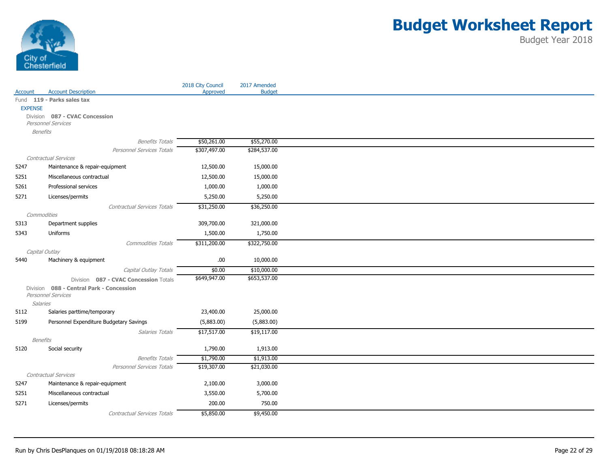

|                |                                                     | 2018 City Council         | 2017 Amended              |
|----------------|-----------------------------------------------------|---------------------------|---------------------------|
| Account        | <b>Account Description</b>                          | Approved                  | <b>Budget</b>             |
|                | Fund 119 - Parks sales tax                          |                           |                           |
| <b>EXPENSE</b> | Division 087 - CVAC Concession                      |                           |                           |
|                | Personnel Services                                  |                           |                           |
|                | <b>Benefits</b>                                     |                           |                           |
|                | <b>Benefits Totals</b>                              | \$50,261.00               | \$55,270.00               |
|                | Personnel Services Totals                           | \$307,497.00              | \$284,537.00              |
|                | Contractual Services                                |                           |                           |
| 5247           | Maintenance & repair-equipment                      | 12,500.00                 | 15,000.00                 |
| 5251           | Miscellaneous contractual                           | 12,500.00                 | 15,000.00                 |
| 5261           | Professional services                               | 1,000.00                  | 1,000.00                  |
| 5271           | Licenses/permits                                    | 5,250.00                  | 5,250.00                  |
|                | <b>Contractual Services Totals</b>                  | \$31,250.00               | \$36,250.00               |
|                | Commodities                                         |                           |                           |
| 5313           | Department supplies                                 | 309,700.00                | 321,000.00                |
| 5343           | Uniforms                                            | 1,500.00                  | 1,750.00                  |
|                | <b>Commodities Totals</b>                           | \$311,200.00              | \$322,750.00              |
|                | Capital Outlay                                      |                           |                           |
| 5440           | Machinery & equipment                               | .00                       | 10,000.00                 |
|                | Capital Outlay Totals                               | \$0.00                    | \$10,000.00               |
|                | Division 087 - CVAC Concession Totals               | \$649,947.00              | \$653,537.00              |
|                | Division 088 - Central Park - Concession            |                           |                           |
|                | <b>Personnel Services</b>                           |                           |                           |
| 5112           | Salaries                                            |                           | 25,000.00                 |
|                | Salaries parttime/temporary                         | 23,400.00                 |                           |
| 5199           | Personnel Expenditure Budgetary Savings             | (5,883.00)                | (5,883.00)                |
|                | Salaries Totals                                     | \$17,517.00               | \$19,117.00               |
| 5120           | <b>Benefits</b><br>Social security                  | 1,790.00                  | 1,913.00                  |
|                |                                                     |                           |                           |
|                | <b>Benefits Totals</b><br>Personnel Services Totals | \$1,790.00<br>\$19,307.00 | \$1,913.00<br>\$21,030.00 |
|                | Contractual Services                                |                           |                           |
| 5247           | Maintenance & repair-equipment                      | 2,100.00                  | 3,000.00                  |
| 5251           | Miscellaneous contractual                           | 3,550.00                  | 5,700.00                  |
| 5271           | Licenses/permits                                    | 200.00                    | 750.00                    |
|                |                                                     |                           |                           |
|                | <b>Contractual Services Totals</b>                  | \$5,850.00                | \$9,450.00                |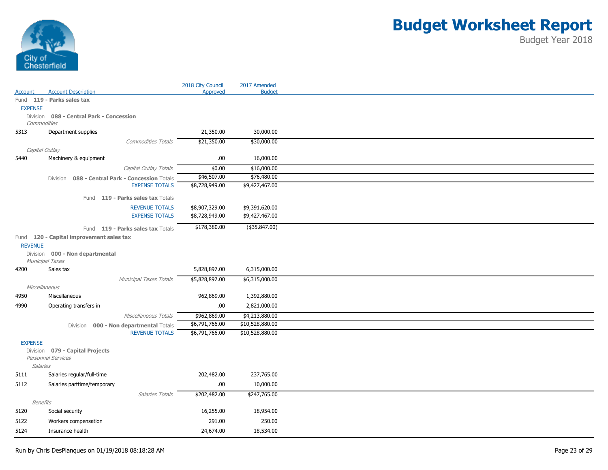

|                 |                                                                 | 2018 City Council | 2017 Amended     |
|-----------------|-----------------------------------------------------------------|-------------------|------------------|
| Account         | <b>Account Description</b>                                      | Approved          | <b>Budget</b>    |
|                 | Fund 119 - Parks sales tax                                      |                   |                  |
| <b>EXPENSE</b>  |                                                                 |                   |                  |
| Commodities     | Division 088 - Central Park - Concession                        |                   |                  |
| 5313            | Department supplies                                             | 21,350.00         | 30,000.00        |
|                 | <b>Commodities Totals</b>                                       | \$21,350.00       | \$30,000.00      |
|                 | Capital Outlay                                                  |                   |                  |
| 5440            | Machinery & equipment                                           | .00.              | 16,000.00        |
|                 | Capital Outlay Totals                                           | \$0.00            | \$16,000.00      |
|                 | 088 - Central Park - Concession Totals<br>Division              | \$46,507.00       | \$76,480.00      |
|                 | <b>EXPENSE TOTALS</b>                                           | \$8,728,949.00    | \$9,427,467.00   |
|                 |                                                                 |                   |                  |
|                 | Fund 119 - Parks sales tax Totals                               |                   |                  |
|                 | <b>REVENUE TOTALS</b>                                           | \$8,907,329.00    | \$9,391,620.00   |
|                 | <b>EXPENSE TOTALS</b>                                           | \$8,728,949.00    | \$9,427,467.00   |
|                 | Fund 119 - Parks sales tax Totals                               | \$178,380.00      | $($ \$35,847.00) |
|                 | Fund 120 - Capital improvement sales tax                        |                   |                  |
| <b>REVENUE</b>  |                                                                 |                   |                  |
|                 | Division 000 - Non departmental                                 |                   |                  |
| 4200            | Municipal Taxes<br>Sales tax                                    | 5,828,897.00      | 6,315,000.00     |
|                 |                                                                 |                   |                  |
|                 | <b>Municipal Taxes Totals</b><br>Miscellaneous                  | \$5,828,897.00    | \$6,315,000.00   |
| 4950            | Miscellaneous                                                   | 962,869.00        | 1,392,880.00     |
|                 |                                                                 |                   |                  |
| 4990            | Operating transfers in                                          | .00.              | 2,821,000.00     |
|                 | Miscellaneous Totals                                            | \$962,869.00      | \$4,213,880.00   |
|                 | Division 000 - Non departmental Totals<br><b>REVENUE TOTALS</b> | \$6,791,766.00    | \$10,528,880.00  |
|                 |                                                                 | \$6,791,766.00    | \$10,528,880.00  |
| <b>EXPENSE</b>  |                                                                 |                   |                  |
|                 | Division 079 - Capital Projects<br>Personnel Services           |                   |                  |
| <b>Salaries</b> |                                                                 |                   |                  |
| 5111            | Salaries regular/full-time                                      | 202,482.00        | 237,765.00       |
| 5112            | Salaries parttime/temporary                                     | .00               | 10,000.00        |
|                 | Salaries Totals                                                 | \$202,482.00      | \$247,765.00     |
| Benefits        |                                                                 |                   |                  |
| 5120            | Social security                                                 | 16,255.00         | 18,954.00        |
| 5122            | Workers compensation                                            | 291.00            | 250.00           |
| 5124            | Insurance health                                                | 24,674.00         | 18,534.00        |
|                 |                                                                 |                   |                  |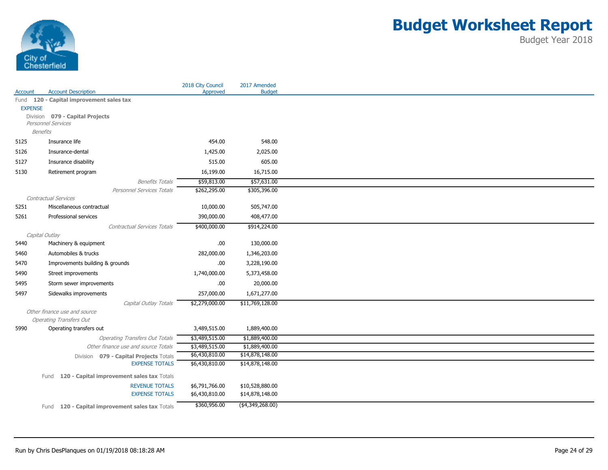

|                 |                                                   | 2018 City Council                | 2017 Amended                       |
|-----------------|---------------------------------------------------|----------------------------------|------------------------------------|
| Account         | <b>Account Description</b>                        | Approved                         | <b>Budget</b>                      |
|                 | Fund 120 - Capital improvement sales tax          |                                  |                                    |
| <b>EXPENSE</b>  | Division 079 - Capital Projects                   |                                  |                                    |
|                 | Personnel Services                                |                                  |                                    |
| <b>Benefits</b> |                                                   |                                  |                                    |
| 5125            | Insurance life                                    | 454.00                           | 548.00                             |
| 5126            | Insurance-dental                                  | 1,425.00                         | 2,025.00                           |
| 5127            | Insurance disability                              | 515.00                           | 605.00                             |
|                 |                                                   |                                  |                                    |
| 5130            | Retirement program                                | 16,199.00                        | 16,715.00                          |
|                 | <b>Benefits Totals</b>                            | \$59,813.00                      | \$57,631.00                        |
|                 | Personnel Services Totals                         | \$262,295.00                     | \$305,396.00                       |
| 5251            | Contractual Services<br>Miscellaneous contractual | 10,000.00                        | 505,747.00                         |
|                 |                                                   |                                  |                                    |
| 5261            | Professional services                             | 390,000.00                       | 408,477.00                         |
|                 | Contractual Services Totals                       | \$400,000.00                     | \$914,224.00                       |
| Capital Outlay  |                                                   |                                  |                                    |
| 5440            | Machinery & equipment                             | .00                              | 130,000.00                         |
| 5460            | Automobiles & trucks                              | 282,000.00                       | 1,346,203.00                       |
| 5470            | Improvements building & grounds                   | .00                              | 3,228,190.00                       |
| 5490            | Street improvements                               | 1,740,000.00                     | 5,373,458.00                       |
| 5495            | Storm sewer improvements                          | .00                              | 20,000.00                          |
| 5497            | Sidewalks improvements                            | 257,000.00                       | 1,671,277.00                       |
|                 | Capital Outlay Totals                             | \$2,279,000.00                   | \$11,769,128.00                    |
|                 | Other finance use and source                      |                                  |                                    |
|                 | <b>Operating Transfers Out</b>                    |                                  |                                    |
| 5990            | Operating transfers out                           | 3,489,515.00                     | 1,889,400.00                       |
|                 | <b>Operating Transfers Out Totals</b>             | \$3,489,515.00                   | \$1,889,400.00                     |
|                 | Other finance use and source Totals               | \$3,489,515.00                   | \$1,889,400.00                     |
|                 | Division 079 - Capital Projects Totals            | \$6,430,810.00                   | \$14,878,148.00                    |
|                 | <b>EXPENSE TOTALS</b>                             | \$6,430,810.00                   | \$14,878,148.00                    |
|                 | Fund 120 - Capital improvement sales tax Totals   |                                  |                                    |
|                 |                                                   |                                  |                                    |
|                 | <b>REVENUE TOTALS</b><br><b>EXPENSE TOTALS</b>    | \$6,791,766.00<br>\$6,430,810.00 | \$10,528,880.00<br>\$14,878,148.00 |
|                 |                                                   |                                  |                                    |
|                 | Fund 120 - Capital improvement sales tax Totals   | \$360,956.00                     | ( \$4,349,268.00)                  |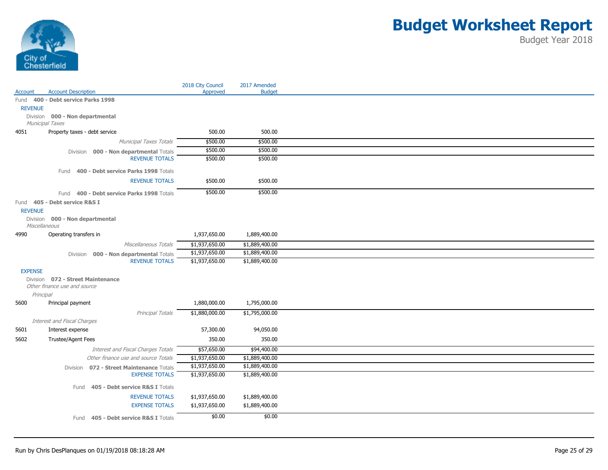

|                |                                                                   | 2018 City Council | 2017 Amended   |
|----------------|-------------------------------------------------------------------|-------------------|----------------|
| Account        | <b>Account Description</b>                                        | Approved          | <b>Budget</b>  |
|                | Fund 400 - Debt service Parks 1998                                |                   |                |
| <b>REVENUE</b> |                                                                   |                   |                |
|                | Division 000 - Non departmental<br>Municipal Taxes                |                   |                |
| 4051           | Property taxes - debt service                                     | 500.00            | 500.00         |
|                | Municipal Taxes Totals                                            | \$500.00          | \$500.00       |
|                | Division 000 - Non departmental Totals                            | \$500.00          | \$500.00       |
|                | <b>REVENUE TOTALS</b>                                             | \$500.00          | \$500.00       |
|                | 400 - Debt service Parks 1998 Totals<br>Fund                      |                   |                |
|                | <b>REVENUE TOTALS</b>                                             | \$500.00          | \$500.00       |
|                |                                                                   |                   |                |
|                | Fund 400 - Debt service Parks 1998 Totals                         | \$500.00          | \$500.00       |
|                | Fund 405 - Debt service R&S I                                     |                   |                |
| <b>REVENUE</b> |                                                                   |                   |                |
|                | Division 000 - Non departmental                                   |                   |                |
| 4990           | Miscellaneous<br>Operating transfers in                           | 1,937,650.00      | 1,889,400.00   |
|                |                                                                   |                   |                |
|                | Miscellaneous Totals                                              | \$1,937,650.00    | \$1,889,400.00 |
|                | Division 000 - Non departmental Totals                            | \$1,937,650.00    | \$1,889,400.00 |
|                | <b>REVENUE TOTALS</b>                                             | \$1,937,650.00    | \$1,889,400.00 |
| <b>EXPENSE</b> |                                                                   |                   |                |
|                | Division 072 - Street Maintenance<br>Other finance use and source |                   |                |
|                | Principal                                                         |                   |                |
| 5600           | Principal payment                                                 | 1,880,000.00      | 1,795,000.00   |
|                | Principal Totals                                                  | \$1,880,000.00    | \$1,795,000.00 |
|                | Interest and Fiscal Charges                                       |                   |                |
| 5601           | Interest expense                                                  | 57,300.00         | 94,050.00      |
| 5602           | Trustee/Agent Fees                                                | 350.00            | 350.00         |
|                | Interest and Fiscal Charges Totals                                | \$57,650.00       | \$94,400.00    |
|                | Other finance use and source Totals                               | \$1,937,650.00    | \$1,889,400.00 |
|                | 072 - Street Maintenance Totals<br>Division                       | \$1,937,650.00    | \$1,889,400.00 |
|                | <b>EXPENSE TOTALS</b>                                             | \$1,937,650.00    | \$1,889,400.00 |
|                |                                                                   |                   |                |
|                | Fund 405 - Debt service R&S I Totals                              |                   |                |
|                | <b>REVENUE TOTALS</b>                                             | \$1,937,650.00    | \$1,889,400.00 |
|                | <b>EXPENSE TOTALS</b>                                             | \$1,937,650.00    | \$1,889,400.00 |
|                | Fund 405 - Debt service R&S I Totals                              | \$0.00            | \$0.00         |
|                |                                                                   |                   |                |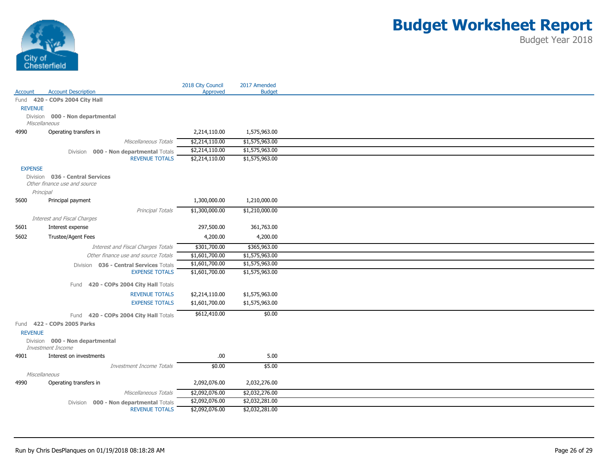

|                |                                                                     | 2018 City Council | 2017 Amended   |  |
|----------------|---------------------------------------------------------------------|-------------------|----------------|--|
| Account        | <b>Account Description</b>                                          | Approved          | <b>Budget</b>  |  |
|                | Fund 420 - COPs 2004 City Hall                                      |                   |                |  |
| <b>REVENUE</b> |                                                                     |                   |                |  |
|                | Division 000 - Non departmental                                     |                   |                |  |
| 4990           | Miscellaneous<br>Operating transfers in                             | 2,214,110.00      | 1,575,963.00   |  |
|                |                                                                     |                   |                |  |
|                | Miscellaneous Totals                                                | \$2,214,110.00    | \$1,575,963.00 |  |
|                | Division 000 - Non departmental Totals                              | \$2,214,110.00    | \$1,575,963.00 |  |
|                | <b>REVENUE TOTALS</b>                                               | \$2,214,110.00    | \$1,575,963.00 |  |
| <b>EXPENSE</b> |                                                                     |                   |                |  |
|                | Division 036 - Central Services                                     |                   |                |  |
|                | Other finance use and source                                        |                   |                |  |
|                | Principal                                                           |                   |                |  |
| 5600           | Principal payment                                                   | 1,300,000.00      | 1,210,000.00   |  |
|                | Principal Totals                                                    | \$1,300,000.00    | \$1,210,000.00 |  |
|                | <b>Interest and Fiscal Charges</b>                                  |                   |                |  |
| 5601           | Interest expense                                                    | 297,500.00        | 361,763.00     |  |
| 5602           | <b>Trustee/Agent Fees</b>                                           | 4,200.00          | 4,200.00       |  |
|                | Interest and Fiscal Charges Totals                                  | \$301,700.00      | \$365,963.00   |  |
|                | Other finance use and source Totals                                 | \$1,601,700.00    | \$1,575,963.00 |  |
|                | Division 036 - Central Services Totals                              | \$1,601,700.00    | \$1,575,963.00 |  |
|                | <b>EXPENSE TOTALS</b>                                               | \$1,601,700.00    | \$1,575,963.00 |  |
|                | 420 - COPs 2004 City Hall Totals<br>Fund                            |                   |                |  |
|                | <b>REVENUE TOTALS</b>                                               | \$2,214,110.00    | \$1,575,963.00 |  |
|                | <b>EXPENSE TOTALS</b>                                               | \$1,601,700.00    | \$1,575,963.00 |  |
|                |                                                                     | \$612,410.00      | \$0.00         |  |
|                | Fund 420 - COPs 2004 City Hall Totals<br>Fund 422 - COPs 2005 Parks |                   |                |  |
|                |                                                                     |                   |                |  |
| <b>REVENUE</b> |                                                                     |                   |                |  |
|                | Division 000 - Non departmental<br>Investment Income                |                   |                |  |
| 4901           | Interest on investments                                             | .00               | 5.00           |  |
|                | Investment Income Totals                                            | \$0.00            | \$5.00         |  |
|                | Miscellaneous                                                       |                   |                |  |
| 4990           | Operating transfers in                                              | 2,092,076.00      | 2,032,276.00   |  |
|                | Miscellaneous Totals                                                | \$2,092,076.00    | \$2,032,276.00 |  |
|                | Division 000 - Non departmental Totals                              | \$2,092,076.00    | \$2,032,281.00 |  |
|                | <b>REVENUE TOTALS</b>                                               | \$2,092,076.00    | \$2,032,281.00 |  |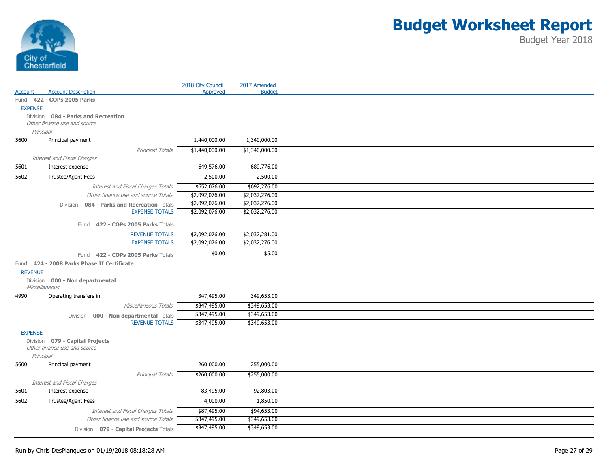

|                            |                                                                                                                                                                                                                                                                                                                                                                                                | 2018 City Council                                                                                                                                                                                                                                                                                                                                                                    | 2017 Amended                                                                                                                                                                                                 |
|----------------------------|------------------------------------------------------------------------------------------------------------------------------------------------------------------------------------------------------------------------------------------------------------------------------------------------------------------------------------------------------------------------------------------------|--------------------------------------------------------------------------------------------------------------------------------------------------------------------------------------------------------------------------------------------------------------------------------------------------------------------------------------------------------------------------------------|--------------------------------------------------------------------------------------------------------------------------------------------------------------------------------------------------------------|
| <b>Account Description</b> |                                                                                                                                                                                                                                                                                                                                                                                                |                                                                                                                                                                                                                                                                                                                                                                                      | <b>Budget</b>                                                                                                                                                                                                |
|                            |                                                                                                                                                                                                                                                                                                                                                                                                |                                                                                                                                                                                                                                                                                                                                                                                      |                                                                                                                                                                                                              |
|                            |                                                                                                                                                                                                                                                                                                                                                                                                |                                                                                                                                                                                                                                                                                                                                                                                      |                                                                                                                                                                                                              |
|                            |                                                                                                                                                                                                                                                                                                                                                                                                |                                                                                                                                                                                                                                                                                                                                                                                      |                                                                                                                                                                                                              |
|                            |                                                                                                                                                                                                                                                                                                                                                                                                |                                                                                                                                                                                                                                                                                                                                                                                      |                                                                                                                                                                                                              |
|                            |                                                                                                                                                                                                                                                                                                                                                                                                |                                                                                                                                                                                                                                                                                                                                                                                      | 1,340,000.00                                                                                                                                                                                                 |
|                            |                                                                                                                                                                                                                                                                                                                                                                                                |                                                                                                                                                                                                                                                                                                                                                                                      |                                                                                                                                                                                                              |
|                            |                                                                                                                                                                                                                                                                                                                                                                                                |                                                                                                                                                                                                                                                                                                                                                                                      | \$1,340,000.00                                                                                                                                                                                               |
|                            |                                                                                                                                                                                                                                                                                                                                                                                                |                                                                                                                                                                                                                                                                                                                                                                                      | 689,776.00                                                                                                                                                                                                   |
|                            |                                                                                                                                                                                                                                                                                                                                                                                                |                                                                                                                                                                                                                                                                                                                                                                                      | 2,500.00                                                                                                                                                                                                     |
|                            |                                                                                                                                                                                                                                                                                                                                                                                                |                                                                                                                                                                                                                                                                                                                                                                                      |                                                                                                                                                                                                              |
|                            |                                                                                                                                                                                                                                                                                                                                                                                                |                                                                                                                                                                                                                                                                                                                                                                                      | \$692,276.00                                                                                                                                                                                                 |
|                            |                                                                                                                                                                                                                                                                                                                                                                                                |                                                                                                                                                                                                                                                                                                                                                                                      | \$2,032,276.00                                                                                                                                                                                               |
|                            |                                                                                                                                                                                                                                                                                                                                                                                                |                                                                                                                                                                                                                                                                                                                                                                                      | \$2,032,276.00<br>\$2,032,276.00                                                                                                                                                                             |
|                            |                                                                                                                                                                                                                                                                                                                                                                                                |                                                                                                                                                                                                                                                                                                                                                                                      |                                                                                                                                                                                                              |
|                            |                                                                                                                                                                                                                                                                                                                                                                                                |                                                                                                                                                                                                                                                                                                                                                                                      |                                                                                                                                                                                                              |
|                            | <b>REVENUE TOTALS</b>                                                                                                                                                                                                                                                                                                                                                                          | \$2,092,076.00                                                                                                                                                                                                                                                                                                                                                                       | \$2,032,281.00                                                                                                                                                                                               |
|                            | <b>EXPENSE TOTALS</b>                                                                                                                                                                                                                                                                                                                                                                          | \$2,092,076.00                                                                                                                                                                                                                                                                                                                                                                       | \$2,032,276.00                                                                                                                                                                                               |
|                            |                                                                                                                                                                                                                                                                                                                                                                                                | \$0.00                                                                                                                                                                                                                                                                                                                                                                               | \$5.00                                                                                                                                                                                                       |
|                            |                                                                                                                                                                                                                                                                                                                                                                                                |                                                                                                                                                                                                                                                                                                                                                                                      |                                                                                                                                                                                                              |
|                            |                                                                                                                                                                                                                                                                                                                                                                                                |                                                                                                                                                                                                                                                                                                                                                                                      |                                                                                                                                                                                                              |
|                            |                                                                                                                                                                                                                                                                                                                                                                                                |                                                                                                                                                                                                                                                                                                                                                                                      |                                                                                                                                                                                                              |
|                            |                                                                                                                                                                                                                                                                                                                                                                                                |                                                                                                                                                                                                                                                                                                                                                                                      |                                                                                                                                                                                                              |
| Operating transfers in     |                                                                                                                                                                                                                                                                                                                                                                                                | 347,495.00                                                                                                                                                                                                                                                                                                                                                                           | 349,653.00                                                                                                                                                                                                   |
|                            | Miscellaneous Totals                                                                                                                                                                                                                                                                                                                                                                           |                                                                                                                                                                                                                                                                                                                                                                                      | \$349,653.00                                                                                                                                                                                                 |
|                            |                                                                                                                                                                                                                                                                                                                                                                                                |                                                                                                                                                                                                                                                                                                                                                                                      | \$349,653.00                                                                                                                                                                                                 |
|                            | <b>REVENUE TOTALS</b>                                                                                                                                                                                                                                                                                                                                                                          | \$347,495.00                                                                                                                                                                                                                                                                                                                                                                         | \$349,653.00                                                                                                                                                                                                 |
|                            |                                                                                                                                                                                                                                                                                                                                                                                                |                                                                                                                                                                                                                                                                                                                                                                                      |                                                                                                                                                                                                              |
|                            |                                                                                                                                                                                                                                                                                                                                                                                                |                                                                                                                                                                                                                                                                                                                                                                                      |                                                                                                                                                                                                              |
|                            |                                                                                                                                                                                                                                                                                                                                                                                                |                                                                                                                                                                                                                                                                                                                                                                                      |                                                                                                                                                                                                              |
|                            |                                                                                                                                                                                                                                                                                                                                                                                                |                                                                                                                                                                                                                                                                                                                                                                                      |                                                                                                                                                                                                              |
| Principal payment          |                                                                                                                                                                                                                                                                                                                                                                                                | 260,000.00                                                                                                                                                                                                                                                                                                                                                                           | 255,000.00                                                                                                                                                                                                   |
|                            | Principal Totals                                                                                                                                                                                                                                                                                                                                                                               | \$260,000.00                                                                                                                                                                                                                                                                                                                                                                         | \$255,000.00                                                                                                                                                                                                 |
|                            |                                                                                                                                                                                                                                                                                                                                                                                                |                                                                                                                                                                                                                                                                                                                                                                                      |                                                                                                                                                                                                              |
| Interest expense           |                                                                                                                                                                                                                                                                                                                                                                                                | 83,495.00                                                                                                                                                                                                                                                                                                                                                                            | 92,803.00                                                                                                                                                                                                    |
|                            |                                                                                                                                                                                                                                                                                                                                                                                                |                                                                                                                                                                                                                                                                                                                                                                                      | 1,850.00                                                                                                                                                                                                     |
|                            |                                                                                                                                                                                                                                                                                                                                                                                                |                                                                                                                                                                                                                                                                                                                                                                                      |                                                                                                                                                                                                              |
|                            |                                                                                                                                                                                                                                                                                                                                                                                                |                                                                                                                                                                                                                                                                                                                                                                                      |                                                                                                                                                                                                              |
|                            | Interest and Fiscal Charges Totals<br>Other finance use and source Totals                                                                                                                                                                                                                                                                                                                      | \$87,495.00<br>\$347,495.00                                                                                                                                                                                                                                                                                                                                                          | \$94,653.00<br>\$349,653.00                                                                                                                                                                                  |
|                            | Fund 422 - COPs 2005 Parks<br><b>EXPENSE</b><br>Other finance use and source<br>Principal<br>Principal payment<br>Interest and Fiscal Charges<br>Interest expense<br>Trustee/Agent Fees<br><b>REVENUE</b><br>Division 000 - Non departmental<br>Miscellaneous<br><b>EXPENSE</b><br>Division 079 - Capital Projects<br>Other finance use and source<br>Principal<br>Interest and Fiscal Charges | Division 084 - Parks and Recreation<br>Principal Totals<br><b>Interest and Fiscal Charges Totals</b><br>Other finance use and source Totals<br>Division 084 - Parks and Recreation Totals<br><b>EXPENSE TOTALS</b><br>Fund 422 - COPs 2005 Parks Totals<br>Fund 422 - COPs 2005 Parks Totals<br>Fund 424 - 2008 Parks Phase II Certificate<br>Division 000 - Non departmental Totals | Approved<br>1,440,000.00<br>\$1,440,000.00<br>649,576.00<br>2,500.00<br>\$652,076.00<br>\$2,092,076.00<br>\$2,092,076.00<br>\$2,092,076.00<br>\$347,495.00<br>\$347,495.00<br>4,000.00<br>Trustee/Agent Fees |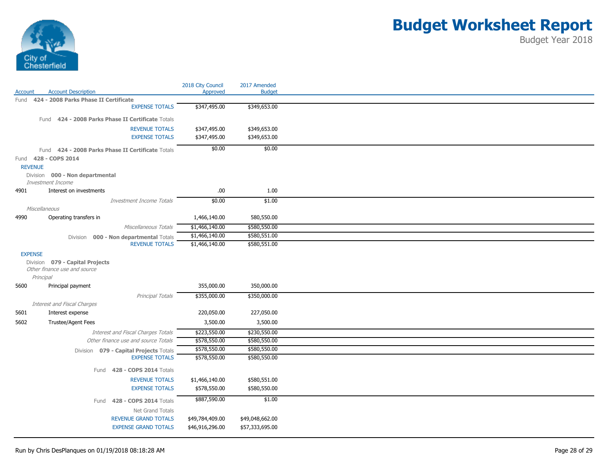

|         |                                                                 | 2018 City Council                | 2017 Amended                 |
|---------|-----------------------------------------------------------------|----------------------------------|------------------------------|
| Account | <b>Account Description</b>                                      | Approved                         | <b>Budget</b>                |
|         | Fund 424 - 2008 Parks Phase II Certificate                      |                                  |                              |
|         | <b>EXPENSE TOTALS</b>                                           | \$347,495.00                     | \$349,653.00                 |
|         | 424 - 2008 Parks Phase II Certificate Totals<br>Fund            |                                  |                              |
|         | <b>REVENUE TOTALS</b>                                           | \$347,495.00                     | \$349,653.00                 |
|         | <b>EXPENSE TOTALS</b>                                           | \$347,495.00                     | \$349,653.00                 |
|         | Fund 424 - 2008 Parks Phase II Certificate Totals               | \$0.00                           | \$0.00                       |
|         | Fund 428 - COPS 2014                                            |                                  |                              |
|         |                                                                 |                                  |                              |
|         | <b>REVENUE</b>                                                  |                                  |                              |
|         | Division 000 - Non departmental<br>Investment Income            |                                  |                              |
| 4901    | Interest on investments                                         | .00.                             | 1.00                         |
|         | Investment Income Totals                                        | \$0.00                           | \$1.00                       |
|         | Miscellaneous                                                   |                                  |                              |
| 4990    | Operating transfers in                                          | 1,466,140.00                     | 580,550.00                   |
|         |                                                                 |                                  |                              |
|         | Miscellaneous Totals                                            | \$1,466,140.00<br>\$1,466,140.00 | \$580,550.00<br>\$580,551.00 |
|         | Division 000 - Non departmental Totals<br><b>REVENUE TOTALS</b> | \$1,466,140.00                   | \$580,551.00                 |
|         |                                                                 |                                  |                              |
|         | <b>EXPENSE</b>                                                  |                                  |                              |
|         | Division 079 - Capital Projects<br>Other finance use and source |                                  |                              |
|         | Principal                                                       |                                  |                              |
| 5600    | Principal payment                                               | 355,000.00                       | 350,000.00                   |
|         | Principal Totals                                                | \$355,000.00                     | \$350,000.00                 |
|         | Interest and Fiscal Charges                                     |                                  |                              |
| 5601    | Interest expense                                                | 220,050.00                       | 227,050.00                   |
|         |                                                                 |                                  |                              |
| 5602    | Trustee/Agent Fees                                              | 3,500.00                         | 3,500.00                     |
|         | Interest and Fiscal Charges Totals                              | \$223,550.00                     | \$230,550.00                 |
|         | Other finance use and source Totals                             | \$578,550.00                     | \$580,550.00                 |
|         | Division 079 - Capital Projects Totals                          | \$578,550.00                     | \$580,550.00                 |
|         | <b>EXPENSE TOTALS</b>                                           | \$578,550.00                     | \$580,550.00                 |
|         | 428 - COPS 2014 Totals<br>Fund                                  |                                  |                              |
|         | <b>REVENUE TOTALS</b>                                           | \$1,466,140.00                   | \$580,551.00                 |
|         | <b>EXPENSE TOTALS</b>                                           | \$578,550.00                     | \$580,550.00                 |
|         |                                                                 | \$887,590.00                     | \$1.00                       |
|         | 428 - COPS 2014 Totals<br>Fund                                  |                                  |                              |
|         | Net Grand Totals                                                |                                  |                              |
|         | <b>REVENUE GRAND TOTALS</b>                                     | \$49,784,409.00                  | \$49,048,662.00              |
|         | <b>EXPENSE GRAND TOTALS</b>                                     | \$46,916,296.00                  | \$57,333,695.00              |
|         |                                                                 |                                  |                              |